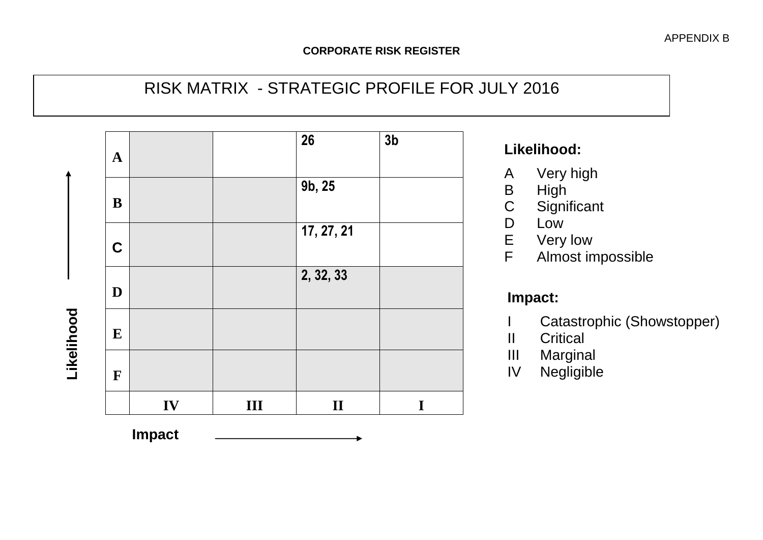# RISK MATRIX - STRATEGIC PROFILE FOR JULY 2016



# **Likelihood:**

- A Very high
- B High<br>C Signi
- Significant
- D Low
- E Very low<br>F Almost in
- Almost impossible

# **Impact:**

- I Catastrophic (Showstopper)
- II Critical
- III Marginal
- IV Negligible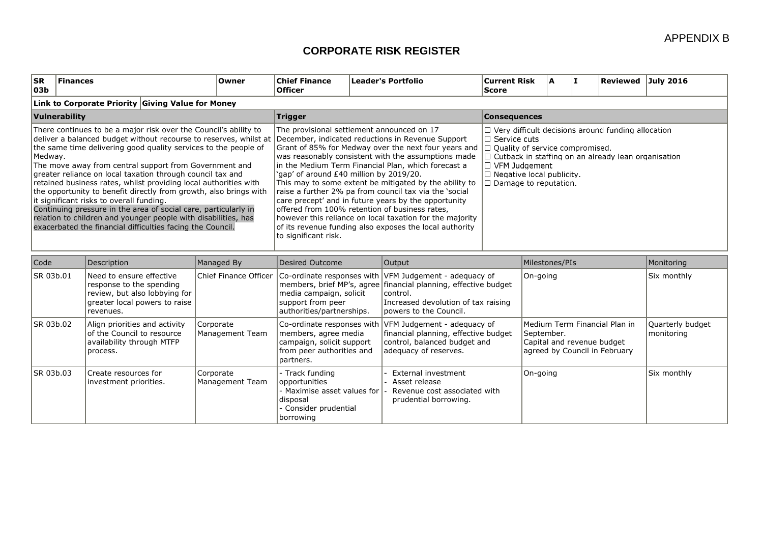| <b>ISR</b><br> 03b | <b>Finances</b>                                                                                                                                                                                                                                                                                                                                                                                                                                                                                                                                                                                                                                                                                                           | Owner | <b>Chief Finance</b><br><b>Officer</b> | <b>Leader's Portfolio</b>                                                                                                                                                                                                                                                                                                                                                                                                                                                                                                                                                                                                                                               | <b>Current Risk</b><br>Score                                                                                                                                                                                                                                                         | A | <b>Reviewed July 2016</b> |  |
|--------------------|---------------------------------------------------------------------------------------------------------------------------------------------------------------------------------------------------------------------------------------------------------------------------------------------------------------------------------------------------------------------------------------------------------------------------------------------------------------------------------------------------------------------------------------------------------------------------------------------------------------------------------------------------------------------------------------------------------------------------|-------|----------------------------------------|-------------------------------------------------------------------------------------------------------------------------------------------------------------------------------------------------------------------------------------------------------------------------------------------------------------------------------------------------------------------------------------------------------------------------------------------------------------------------------------------------------------------------------------------------------------------------------------------------------------------------------------------------------------------------|--------------------------------------------------------------------------------------------------------------------------------------------------------------------------------------------------------------------------------------------------------------------------------------|---|---------------------------|--|
|                    | Link to Corporate Priority Giving Value for Money                                                                                                                                                                                                                                                                                                                                                                                                                                                                                                                                                                                                                                                                         |       |                                        |                                                                                                                                                                                                                                                                                                                                                                                                                                                                                                                                                                                                                                                                         |                                                                                                                                                                                                                                                                                      |   |                           |  |
|                    | Vulnerability                                                                                                                                                                                                                                                                                                                                                                                                                                                                                                                                                                                                                                                                                                             |       | <b>Trigger</b>                         | <b>Consequences</b>                                                                                                                                                                                                                                                                                                                                                                                                                                                                                                                                                                                                                                                     |                                                                                                                                                                                                                                                                                      |   |                           |  |
| Medway.            | There continues to be a major risk over the Council's ability to<br>deliver a balanced budget without recourse to reserves, whilst at<br>the same time delivering good quality services to the people of<br>The move away from central support from Government and<br>greater reliance on local taxation through council tax and<br>retained business rates, whilst providing local authorities with<br>the opportunity to benefit directly from growth, also brings with<br>lit significant risks to overall funding.<br>Continuing pressure in the area of social care, particularly in<br>relation to children and younger people with disabilities, has<br>exacerbated the financial difficulties facing the Council. |       | to significant risk.                   | The provisional settlement announced on 17<br>December, indicated reductions in Revenue Support<br>Grant of 85% for Medway over the next four years and  <br>was reasonably consistent with the assumptions made<br>in the Medium Term Financial Plan, which forecast a<br>'gap' of around £40 million by 2019/20.<br>This may to some extent be mitigated by the ability to<br>raise a further 2% pa from council tax via the 'social<br>care precept' and in future years by the opportunity<br>offered from 100% retention of business rates,<br>however this reliance on local taxation for the majority<br>of its revenue funding also exposes the local authority | $\Box$ Very difficult decisions around funding allocation<br>$\Box$ Service cuts<br>$\Box$ Quality of service compromised.<br>$\Box$ Cutback in staffing on an already lean organisation<br>$\Box$ VFM Judgement<br>$\Box$ Negative local publicity.<br>$\Box$ Damage to reputation. |   |                           |  |

| Code       | Description                                                                                                                         | Managed By                   | Desired Outcome                                                                                                 | Milestones/PIs<br>Output                                                                                                                                                                                |                                                                                                            | Monitoring                      |
|------------|-------------------------------------------------------------------------------------------------------------------------------------|------------------------------|-----------------------------------------------------------------------------------------------------------------|---------------------------------------------------------------------------------------------------------------------------------------------------------------------------------------------------------|------------------------------------------------------------------------------------------------------------|---------------------------------|
| SR 03b.01  | Need to ensure effective<br>response to the spending<br>review, but also lobbying for<br>greater local powers to raise<br>revenues. | Chief Finance Officer        | media campaign, solicit<br>support from peer<br>authorities/partnerships.                                       | Co-ordinate responses with VFM Judgement - adequacy of<br>members, brief MP's, agree financial planning, effective budget<br>control.<br>Increased devolution of tax raising<br>lpowers to the Council. | On-going                                                                                                   | Six monthly                     |
| ISR 03b.02 | Align priorities and activity<br>of the Council to resource<br>availability through MTFP<br>process.                                | Corporate<br>Management Team | members, agree media<br>campaign, solicit support<br>from peer authorities and<br>partners.                     | Co-ordinate responses with VFM Judgement - adequacy of<br>financial planning, effective budget<br>control, balanced budget and<br>adeguacy of reserves.                                                 | Medium Term Financial Plan in<br>September.<br>Capital and revenue budget<br>agreed by Council in February | Quarterly budget<br> monitoring |
| SR 03b.03  | Create resources for<br>investment priorities.                                                                                      | Corporate<br>Management Team | - Track funding<br>opportunities<br>Maximise asset values for l<br>disposal<br>Consider prudential<br>borrowing | External investment<br>Asset release<br>Revenue cost associated with<br>prudential borrowing.                                                                                                           | On-going                                                                                                   | Six monthly                     |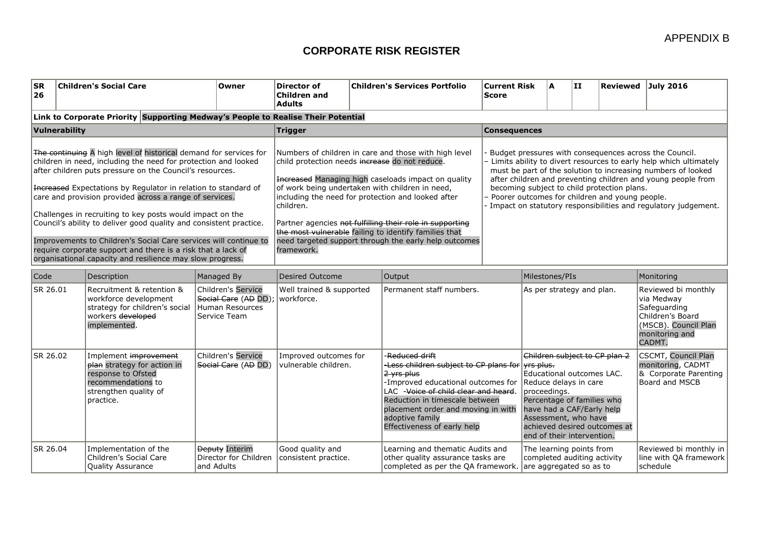| <b>SR</b><br>26 |               | <b>Children's Social Care</b>                                                                                                                                                                                                                                                                                                                                                                                                                                                                                                                                                                                                                                   | Owner                                                                                | Director of<br><b>Children and</b><br><b>Adults</b>                       |  | <b>Children's Services Portfolio</b>                                                                                                                                                                                                                                                                                                                                                                | <b>Current Risk</b><br><b>Score</b>                                                                                                                                                                                                                                                                                                                                                                                                |                                                                                                                                                                       | ΙA.                                                                                                                       | II                                                                                                                                                                                                                                                   |  | Reviewed July 2016                                           |  |  |  |                                                                                            |
|-----------------|---------------|-----------------------------------------------------------------------------------------------------------------------------------------------------------------------------------------------------------------------------------------------------------------------------------------------------------------------------------------------------------------------------------------------------------------------------------------------------------------------------------------------------------------------------------------------------------------------------------------------------------------------------------------------------------------|--------------------------------------------------------------------------------------|---------------------------------------------------------------------------|--|-----------------------------------------------------------------------------------------------------------------------------------------------------------------------------------------------------------------------------------------------------------------------------------------------------------------------------------------------------------------------------------------------------|------------------------------------------------------------------------------------------------------------------------------------------------------------------------------------------------------------------------------------------------------------------------------------------------------------------------------------------------------------------------------------------------------------------------------------|-----------------------------------------------------------------------------------------------------------------------------------------------------------------------|---------------------------------------------------------------------------------------------------------------------------|------------------------------------------------------------------------------------------------------------------------------------------------------------------------------------------------------------------------------------------------------|--|--------------------------------------------------------------|--|--|--|--------------------------------------------------------------------------------------------|
|                 |               | Link to Corporate Priority Supporting Medway's People to Realise Their Potential                                                                                                                                                                                                                                                                                                                                                                                                                                                                                                                                                                                |                                                                                      |                                                                           |  |                                                                                                                                                                                                                                                                                                                                                                                                     |                                                                                                                                                                                                                                                                                                                                                                                                                                    |                                                                                                                                                                       |                                                                                                                           |                                                                                                                                                                                                                                                      |  |                                                              |  |  |  |                                                                                            |
|                 | Vulnerability |                                                                                                                                                                                                                                                                                                                                                                                                                                                                                                                                                                                                                                                                 |                                                                                      | Trigger                                                                   |  |                                                                                                                                                                                                                                                                                                                                                                                                     | <b>Consequences</b>                                                                                                                                                                                                                                                                                                                                                                                                                |                                                                                                                                                                       |                                                                                                                           |                                                                                                                                                                                                                                                      |  |                                                              |  |  |  |                                                                                            |
|                 |               | The continuing A high level of historical demand for services for<br>children in need, including the need for protection and looked<br>after children puts pressure on the Council's resources.<br>Hereased Expectations by Regulator in relation to standard of<br>care and provision provided across a range of services.<br>Challenges in recruiting to key posts would impact on the<br>Council's ability to deliver good quality and consistent practice.<br>Improvements to Children's Social Care services will continue to<br>require corporate support and there is a risk that a lack of<br>organisational capacity and resilience may slow progress. |                                                                                      | child protection needs increase do not reduce.<br>children.<br>framework. |  | Numbers of children in care and those with high level<br>Increased Managing high caseloads impact on quality<br>of work being undertaken with children in need,<br>including the need for protection and looked after<br>Partner agencies not fulfilling their role in supporting<br>the most vulnerable failing to identify families that<br>need targeted support through the early help outcomes | Budget pressures with consequences across the Council.<br>- Limits ability to divert resources to early help which ultimately<br>must be part of the solution to increasing numbers of looked<br>after children and preventing children and young people from<br>becoming subject to child protection plans.<br>Poorer outcomes for children and young people.<br>- Impact on statutory responsibilities and regulatory judgement. |                                                                                                                                                                       |                                                                                                                           |                                                                                                                                                                                                                                                      |  |                                                              |  |  |  |                                                                                            |
| Code            |               | Description                                                                                                                                                                                                                                                                                                                                                                                                                                                                                                                                                                                                                                                     | Managed By                                                                           | <b>Desired Outcome</b>                                                    |  | Output                                                                                                                                                                                                                                                                                                                                                                                              |                                                                                                                                                                                                                                                                                                                                                                                                                                    |                                                                                                                                                                       |                                                                                                                           |                                                                                                                                                                                                                                                      |  | Monitoring                                                   |  |  |  |                                                                                            |
| SR 26.01        |               | Recruitment & retention &<br>workforce development<br>strategy for children's social<br>workers developed<br>implemented.                                                                                                                                                                                                                                                                                                                                                                                                                                                                                                                                       | <b>Children's Service</b><br>Social Care (AD DD);<br>Human Resources<br>Service Team | Well trained & supported<br>l workforce.                                  |  | Permanent staff numbers.                                                                                                                                                                                                                                                                                                                                                                            | Milestones/PIs<br>As per strategy and plan.                                                                                                                                                                                                                                                                                                                                                                                        |                                                                                                                                                                       | Reviewed bi monthly<br>via Medway<br>Safeguarding<br>Children's Board<br>(MSCB). Council Plan<br>monitoring and<br>CADMT. |                                                                                                                                                                                                                                                      |  |                                                              |  |  |  |                                                                                            |
| SR 26.02        |               | Implement improvement<br>plan strategy for action in<br>response to Ofsted<br>recommendations to<br>strengthen quality of<br>practice.                                                                                                                                                                                                                                                                                                                                                                                                                                                                                                                          | <b>Children's Service</b><br>Social Care (AD DD)                                     | Improved outcomes for<br>vulnerable children.                             |  | Reduced drift<br>2 vrs plus<br>Reduction in timescale between<br>adoptive family<br>Effectiveness of early help                                                                                                                                                                                                                                                                                     |                                                                                                                                                                                                                                                                                                                                                                                                                                    | -Less children subject to CP plans for vrs plus.<br>-Improved educational outcomes for<br>LAC - Voice of child clear and heard.<br>placement order and moving in with |                                                                                                                           | Children subject to CP plan 2<br>Educational outcomes LAC.<br>Reduce delays in care<br>proceedings.<br>Percentage of families who<br>have had a CAF/Early help<br>Assessment, who have<br>achieved desired outcomes at<br>end of their intervention. |  |                                                              |  |  |  | <b>CSCMT, Council Plan</b><br>monitoring, CADMT<br>& Corporate Parenting<br>Board and MSCB |
| SR 26.04        |               | Implementation of the<br>Children's Social Care<br><b>Quality Assurance</b>                                                                                                                                                                                                                                                                                                                                                                                                                                                                                                                                                                                     | <b>Deputy Interim</b><br>Director for Children<br>and Adults                         | Good quality and<br>consistent practice.                                  |  | Learning and thematic Audits and<br>other quality assurance tasks are<br>completed as per the QA framework. are aggregated so as to                                                                                                                                                                                                                                                                 |                                                                                                                                                                                                                                                                                                                                                                                                                                    | The learning points from<br>completed auditing activity                                                                                                               |                                                                                                                           |                                                                                                                                                                                                                                                      |  | Reviewed bi monthly in<br>line with QA framework<br>schedule |  |  |  |                                                                                            |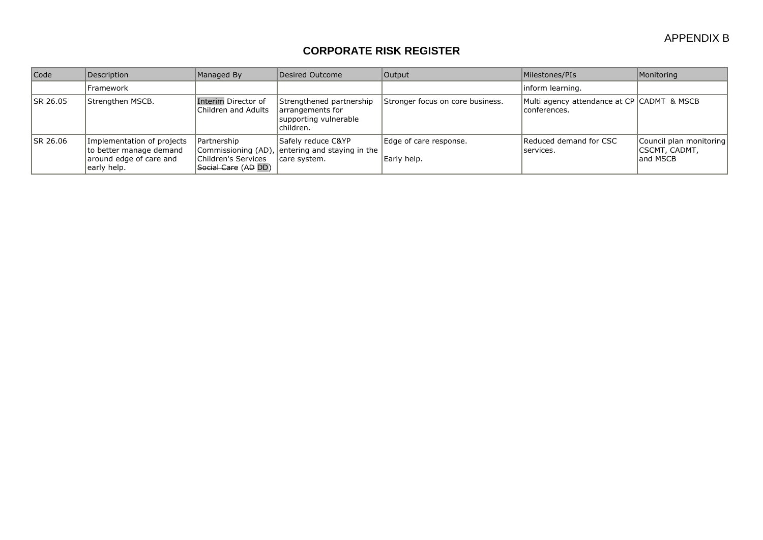| Code            | Description                                                                                     | Managed By                                                  | Desired Outcome                                                                       | Output                                | Milestones/PIs                                              | Monitoring                                            |
|-----------------|-------------------------------------------------------------------------------------------------|-------------------------------------------------------------|---------------------------------------------------------------------------------------|---------------------------------------|-------------------------------------------------------------|-------------------------------------------------------|
|                 | Framework                                                                                       |                                                             |                                                                                       |                                       | linform learning.                                           |                                                       |
| <b>SR 26.05</b> | Strengthen MSCB.                                                                                | Interim Director of<br>Children and Adults                  | Strengthened partnership<br>arrangements for<br>supporting vulnerable<br>lchildren.   | Stronger focus on core business.      | Multi agency attendance at CP CADMT & MSCB<br> conferences. |                                                       |
| ISR 26.06       | Implementation of projects<br>to better manage demand<br>around edge of care and<br>early help. | l Partnership<br>Children's Services<br>Social Care (AD DD) | Safely reduce C&YP<br>Commissioning (AD), entering and staying in the<br>care system. | Edge of care response.<br>Early help. | Reduced demand for CSC<br> services.                        | Council plan monitoring<br> CSCMT, CADMT,<br>and MSCB |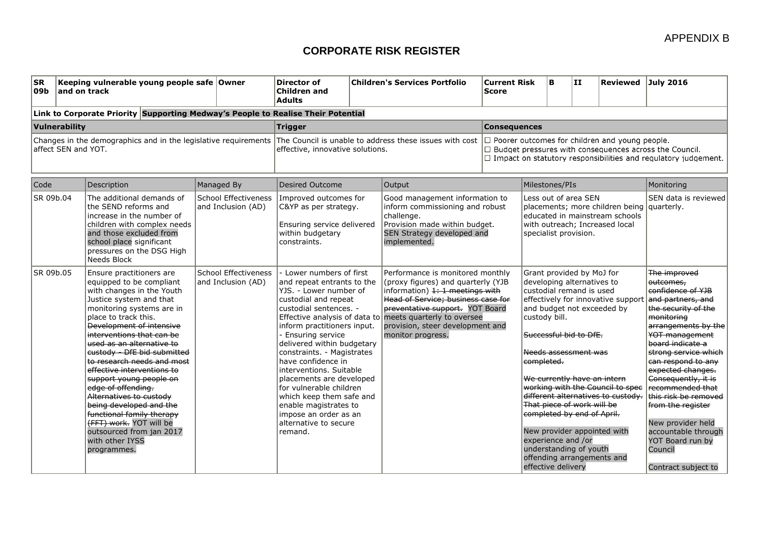| <b>SR</b><br>09b | and on track        | Keeping vulnerable young people safe Owner                                                                                                                                                                                                                                                                                                                                                                                                                                                                                                                                             |                                                   | Director of<br><b>Children and</b><br><b>Adults</b>                                                                                                                                                                                                                                                                                                                                                                                                                                                            |  | <b>Children's Services Portfolio</b>                                                                                                                                                                                                                                      | <b>Current Risk</b><br><b>Score</b>                                                                                                                                                             | ΙB.                                                                                                                                                             | II                                                                                                                                                                                                                          | Reviewed July 2016                                                                                                                                                                                                                     |                                                                                                                                                                                                                                                                                                                                                                                                                                    |
|------------------|---------------------|----------------------------------------------------------------------------------------------------------------------------------------------------------------------------------------------------------------------------------------------------------------------------------------------------------------------------------------------------------------------------------------------------------------------------------------------------------------------------------------------------------------------------------------------------------------------------------------|---------------------------------------------------|----------------------------------------------------------------------------------------------------------------------------------------------------------------------------------------------------------------------------------------------------------------------------------------------------------------------------------------------------------------------------------------------------------------------------------------------------------------------------------------------------------------|--|---------------------------------------------------------------------------------------------------------------------------------------------------------------------------------------------------------------------------------------------------------------------------|-------------------------------------------------------------------------------------------------------------------------------------------------------------------------------------------------|-----------------------------------------------------------------------------------------------------------------------------------------------------------------|-----------------------------------------------------------------------------------------------------------------------------------------------------------------------------------------------------------------------------|----------------------------------------------------------------------------------------------------------------------------------------------------------------------------------------------------------------------------------------|------------------------------------------------------------------------------------------------------------------------------------------------------------------------------------------------------------------------------------------------------------------------------------------------------------------------------------------------------------------------------------------------------------------------------------|
|                  |                     | Link to Corporate Priority Supporting Medway's People to Realise Their Potential                                                                                                                                                                                                                                                                                                                                                                                                                                                                                                       |                                                   |                                                                                                                                                                                                                                                                                                                                                                                                                                                                                                                |  |                                                                                                                                                                                                                                                                           |                                                                                                                                                                                                 |                                                                                                                                                                 |                                                                                                                                                                                                                             |                                                                                                                                                                                                                                        |                                                                                                                                                                                                                                                                                                                                                                                                                                    |
|                  | Vulnerability       |                                                                                                                                                                                                                                                                                                                                                                                                                                                                                                                                                                                        |                                                   | <b>Trigger</b>                                                                                                                                                                                                                                                                                                                                                                                                                                                                                                 |  |                                                                                                                                                                                                                                                                           | <b>Consequences</b>                                                                                                                                                                             |                                                                                                                                                                 |                                                                                                                                                                                                                             |                                                                                                                                                                                                                                        |                                                                                                                                                                                                                                                                                                                                                                                                                                    |
|                  | affect SEN and YOT. |                                                                                                                                                                                                                                                                                                                                                                                                                                                                                                                                                                                        |                                                   | Changes in the demographics and in the legislative requirements The Council is unable to address these issues with cost<br>effective, innovative solutions.                                                                                                                                                                                                                                                                                                                                                    |  |                                                                                                                                                                                                                                                                           | $\Box$ Poorer outcomes for children and young people.<br>$\Box$ Budget pressures with consequences across the Council.<br>$\Box$ Impact on statutory responsibilities and regulatory judgement. |                                                                                                                                                                 |                                                                                                                                                                                                                             |                                                                                                                                                                                                                                        |                                                                                                                                                                                                                                                                                                                                                                                                                                    |
| Code             |                     | Description                                                                                                                                                                                                                                                                                                                                                                                                                                                                                                                                                                            | Managed By                                        | <b>Desired Outcome</b>                                                                                                                                                                                                                                                                                                                                                                                                                                                                                         |  | Output                                                                                                                                                                                                                                                                    |                                                                                                                                                                                                 | Milestones/PIs                                                                                                                                                  |                                                                                                                                                                                                                             |                                                                                                                                                                                                                                        | Monitoring                                                                                                                                                                                                                                                                                                                                                                                                                         |
| SR 09b.04        |                     | The additional demands of<br>the SEND reforms and<br>increase in the number of<br>children with complex needs<br>and those excluded from<br>school place significant<br>pressures on the DSG High<br>Needs Block                                                                                                                                                                                                                                                                                                                                                                       | <b>School Effectiveness</b><br>and Inclusion (AD) | Improved outcomes for<br>C&YP as per strategy.<br>Ensuring service delivered<br>within budgetary<br>constraints.                                                                                                                                                                                                                                                                                                                                                                                               |  | Good management information to<br>inform commissioning and robust<br>challenge.<br>Provision made within budget.<br>SEN Strategy developed and<br>implemented.                                                                                                            |                                                                                                                                                                                                 | Less out of area SEN<br>placements; more children being quarterly.<br>educated in mainstream schools<br>with outreach; Increased local<br>specialist provision. |                                                                                                                                                                                                                             | SEN data is reviewed                                                                                                                                                                                                                   |                                                                                                                                                                                                                                                                                                                                                                                                                                    |
| SR 09b.05        |                     | Ensure practitioners are<br>equipped to be compliant<br>with changes in the Youth<br>Justice system and that<br>monitoring systems are in<br>place to track this.<br><b>Development of intensive</b><br>interventions that can be<br>used as an alternative to<br>custody - DfE bid submitted<br>to research needs and most<br>effective interventions to<br>support young people on<br>edge of offending.<br>Alternatives to custody<br>being developed and the<br>functional family therapy<br>(FFT) work. YOT will be<br>outsourced from jan 2017<br>with other IYSS<br>programmes. | <b>School Effectiveness</b><br>and Inclusion (AD) | - Lower numbers of first<br>and repeat entrants to the<br>YJS. - Lower number of<br>custodial and repeat<br>custodial sentences. -<br>Effective analysis of data to<br>inform practitioners input.<br>- Ensuring service<br>delivered within budgetary<br>constraints. - Magistrates<br>have confidence in<br>interventions. Suitable<br>placements are developed<br>for vulnerable children<br>which keep them safe and<br>enable magistrates to<br>impose an order as an<br>alternative to secure<br>remand. |  | Performance is monitored monthly<br>(proxy figures) and quarterly (YJB<br>information) 1: 1 meetings with<br>Head of Service; business case for<br>preventative support. YOT Board<br>meets quarterly to oversee<br>provision, steer development and<br>monitor progress. |                                                                                                                                                                                                 | custody bill.<br>completed.<br>experience and /or<br>effective delivery                                                                                         | Grant provided by MoJ for<br>developing alternatives to<br>custodial remand is used<br>Successful bid to DfE.<br>Needs assessment was<br>That piece of work will be<br>completed by end of April.<br>understanding of youth | effectively for innovative support<br>and budget not exceeded by<br>We currently have an intern<br>working with the Council to spee<br>different alternatives to custody.<br>New provider appointed with<br>offending arrangements and | The improved<br>outcomes.<br>confidence of YJB<br>and partners, and<br>the security of the<br>monitorina<br>arrangements by the<br>YOT management<br>board indicate a<br>strong service which<br>can respond to any<br>expected changes.<br>Consequently, it is<br>recommended that<br>this risk be removed<br>from the register<br>New provider held<br>accountable through<br>YOT Board run by<br>Council<br>Contract subject to |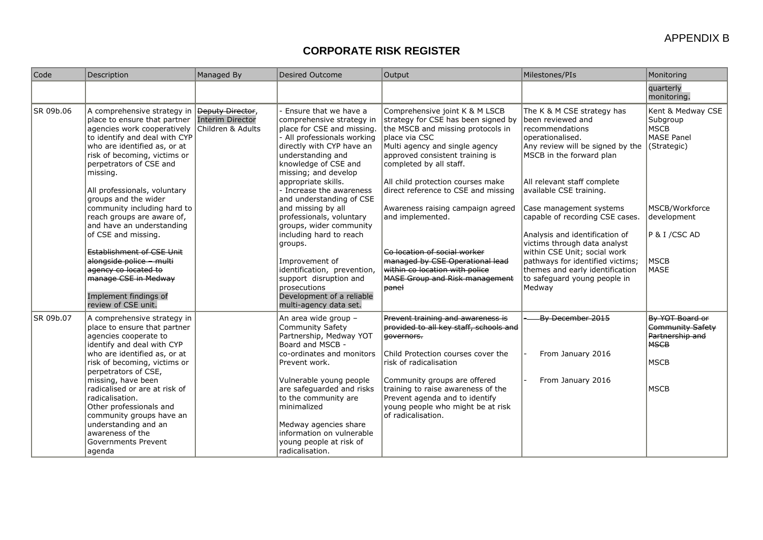| Code      | Description                                                                                                                                                                                                                                                                                                                                                                                                                                                                                                                                                                 | Managed By                                                       | <b>Desired Outcome</b>                                                                                                                                                                                                                                                                                                                                                                                                                                                                                                                                                | Output                                                                                                                                                                                                                                                                                                                                                                                                                                                                                                           | Milestones/PIs                                                                                                                                                                                                                                                                                                                                                                                                                                                                                     | Monitoring                                                                                                                                             |
|-----------|-----------------------------------------------------------------------------------------------------------------------------------------------------------------------------------------------------------------------------------------------------------------------------------------------------------------------------------------------------------------------------------------------------------------------------------------------------------------------------------------------------------------------------------------------------------------------------|------------------------------------------------------------------|-----------------------------------------------------------------------------------------------------------------------------------------------------------------------------------------------------------------------------------------------------------------------------------------------------------------------------------------------------------------------------------------------------------------------------------------------------------------------------------------------------------------------------------------------------------------------|------------------------------------------------------------------------------------------------------------------------------------------------------------------------------------------------------------------------------------------------------------------------------------------------------------------------------------------------------------------------------------------------------------------------------------------------------------------------------------------------------------------|----------------------------------------------------------------------------------------------------------------------------------------------------------------------------------------------------------------------------------------------------------------------------------------------------------------------------------------------------------------------------------------------------------------------------------------------------------------------------------------------------|--------------------------------------------------------------------------------------------------------------------------------------------------------|
|           |                                                                                                                                                                                                                                                                                                                                                                                                                                                                                                                                                                             |                                                                  |                                                                                                                                                                                                                                                                                                                                                                                                                                                                                                                                                                       |                                                                                                                                                                                                                                                                                                                                                                                                                                                                                                                  |                                                                                                                                                                                                                                                                                                                                                                                                                                                                                                    | quarterly<br>monitoring.                                                                                                                               |
| SR 09b.06 | A comprehensive strategy in<br>place to ensure that partner<br>agencies work cooperatively<br>to identify and deal with CYP<br>who are identified as, or at<br>risk of becoming, victims or<br>perpetrators of CSE and<br>missing.<br>All professionals, voluntary<br>groups and the wider<br>community including hard to<br>reach groups are aware of,<br>and have an understanding<br>of CSE and missing.<br><b>Establishment of CSE Unit</b><br>alongside police - multi<br>agency co located to<br>manage CSE in Medway<br>Implement findings of<br>review of CSE unit. | Beputy Director,<br><b>Interim Director</b><br>Children & Adults | Ensure that we have a<br>comprehensive strategy in<br>place for CSE and missing.<br>- All professionals working<br>directly with CYP have an<br>understanding and<br>knowledge of CSE and<br>missing; and develop<br>appropriate skills.<br>- Increase the awareness<br>and understanding of CSE<br>and missing by all<br>professionals, voluntary<br>groups, wider community<br>including hard to reach<br>groups.<br>Improvement of<br>identification, prevention,<br>support disruption and<br>prosecutions<br>Development of a reliable<br>multi-agency data set. | Comprehensive joint K & M LSCB<br>strategy for CSE has been signed by<br>the MSCB and missing protocols in<br>place via CSC<br>Multi agency and single agency<br>approved consistent training is<br>completed by all staff.<br>All child protection courses make<br>direct reference to CSE and missing<br>Awareness raising campaign agreed<br>and implemented.<br>Co location of social worker<br>managed by CSE Operational lead<br>within co location with police<br>MASE Group and Risk management<br>banel | The K & M CSE strategy has<br>been reviewed and<br>recommendations<br>loperationalised.<br>Any review will be signed by the<br>MSCB in the forward plan<br>All relevant staff complete<br>available CSE training.<br>Case management systems<br>capable of recording CSE cases.<br>Analysis and identification of<br>victims through data analyst<br>within CSE Unit; social work<br>pathways for identified victims;<br>themes and early identification<br>to safeguard young people in<br>Medway | Kent & Medway CSE<br>Subgroup<br><b>MSCB</b><br>MASE Panel<br>(Strategic)<br>MSCB/Workforce<br>development<br>$P$ & I / CSC AD<br> MSCB<br><b>MASE</b> |
| SR 09b.07 | A comprehensive strategy in<br>place to ensure that partner<br>agencies cooperate to<br>identify and deal with CYP<br>who are identified as, or at<br>risk of becoming, victims or<br>perpetrators of CSE,<br>missing, have been<br>radicalised or are at risk of<br>radicalisation.<br>Other professionals and<br>community groups have an<br>understanding and an<br>awareness of the<br><b>Governments Prevent</b><br>agenda                                                                                                                                             |                                                                  | An area wide group -<br><b>Community Safety</b><br>Partnership, Medway YOT<br>Board and MSCB -<br>co-ordinates and monitors<br>Prevent work.<br>Vulnerable young people<br>are safeguarded and risks<br>to the community are<br>minimalized<br>Medway agencies share<br>information on vulnerable<br>young people at risk of<br>radicalisation.                                                                                                                                                                                                                       | Prevent training and awareness is<br>provided to all key staff, schools and<br><del>qovernors.</del><br>Child Protection courses cover the<br>risk of radicalisation<br>Community groups are offered<br>training to raise awareness of the<br>Prevent agenda and to identify<br>young people who might be at risk<br>of radicalisation.                                                                                                                                                                          | By December 2015<br>From January 2016<br>From January 2016                                                                                                                                                                                                                                                                                                                                                                                                                                         | By YOT Board or<br>Community Safety<br>Partnership and<br><b>MSCB</b><br>MSCB<br>MSCB                                                                  |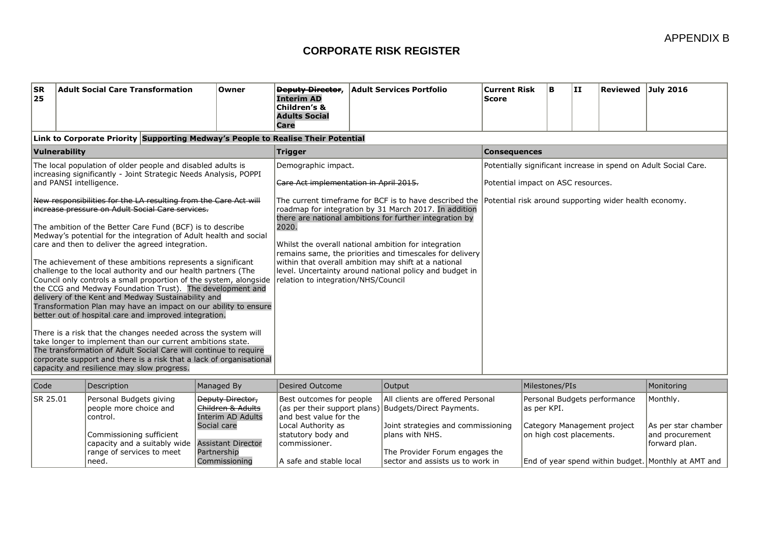| <b>SR</b><br><b>Adult Social Care Transformation</b><br> 25                                                                                                                                                                                                                                                                                                                                                                                                                                                                                                                                                                                                                                                                                                                                                                                                                                                                                                                                                                                                                                                                                                                                                                                           | Owner | <b>Deputy Director,</b><br><b>Interim AD</b><br>Children's &<br><b>Adults Social</b><br>Care                  | <b>Adult Services Portfolio</b>                                                                                                                                                                                                                                                                                                                                                                                                                                              | <b>Current Risk</b><br><b>Score</b>                                                                   | B. | l III. | Reviewed July 2016 |  |  |  |  |
|-------------------------------------------------------------------------------------------------------------------------------------------------------------------------------------------------------------------------------------------------------------------------------------------------------------------------------------------------------------------------------------------------------------------------------------------------------------------------------------------------------------------------------------------------------------------------------------------------------------------------------------------------------------------------------------------------------------------------------------------------------------------------------------------------------------------------------------------------------------------------------------------------------------------------------------------------------------------------------------------------------------------------------------------------------------------------------------------------------------------------------------------------------------------------------------------------------------------------------------------------------|-------|---------------------------------------------------------------------------------------------------------------|------------------------------------------------------------------------------------------------------------------------------------------------------------------------------------------------------------------------------------------------------------------------------------------------------------------------------------------------------------------------------------------------------------------------------------------------------------------------------|-------------------------------------------------------------------------------------------------------|----|--------|--------------------|--|--|--|--|
| Link to Corporate Priority Supporting Medway's People to Realise Their Potential                                                                                                                                                                                                                                                                                                                                                                                                                                                                                                                                                                                                                                                                                                                                                                                                                                                                                                                                                                                                                                                                                                                                                                      |       |                                                                                                               |                                                                                                                                                                                                                                                                                                                                                                                                                                                                              |                                                                                                       |    |        |                    |  |  |  |  |
| Vulnerability                                                                                                                                                                                                                                                                                                                                                                                                                                                                                                                                                                                                                                                                                                                                                                                                                                                                                                                                                                                                                                                                                                                                                                                                                                         |       | <b>Trigger</b>                                                                                                |                                                                                                                                                                                                                                                                                                                                                                                                                                                                              | <b>Consequences</b>                                                                                   |    |        |                    |  |  |  |  |
| The local population of older people and disabled adults is<br>Increasing significantly - Joint Strategic Needs Analysis, POPPI<br>and PANSI intelligence.<br>New responsibilities for the LA resulting from the Care Act will<br>increase pressure on Adult Social Care services.<br>The ambition of the Better Care Fund (BCF) is to describe<br>Medway's potential for the integration of Adult health and social<br>care and then to deliver the agreed integration.<br>The achievement of these ambitions represents a significant<br>challenge to the local authority and our health partners (The<br>Council only controls a small proportion of the system, alongside<br>the CCG and Medway Foundation Trust). The development and<br>delivery of the Kent and Medway Sustainability and<br>Transformation Plan may have an impact on our ability to ensure<br>better out of hospital care and improved integration.<br>There is a risk that the changes needed across the system will<br>take longer to implement than our current ambitions state.<br>The transformation of Adult Social Care will continue to require<br>corporate support and there is a risk that a lack of organisational<br>capacity and resilience may slow progress. |       | Demographic impact.<br>Care Act implementation in April 2015.<br>2020.<br>relation to integration/NHS/Council | The current timeframe for BCF is to have described the $ $ Potential risk around supporting wider health economy.<br>roadmap for integration by 31 March 2017. In addition<br>there are national ambitions for further integration by<br>Whilst the overall national ambition for integration<br>remains same, the priorities and timescales for delivery<br>within that overall ambition may shift at a national<br>level. Uncertainty around national policy and budget in | Potentially significant increase in spend on Adult Social Care.<br>Potential impact on ASC resources. |    |        |                    |  |  |  |  |

| Code            | Description                                                                                              | Managed By                                                                               | Desired Outcome                                                                                                | <b>Output</b>                                                                                   | Milestones/PIs                                          | Monitoring                                               |
|-----------------|----------------------------------------------------------------------------------------------------------|------------------------------------------------------------------------------------------|----------------------------------------------------------------------------------------------------------------|-------------------------------------------------------------------------------------------------|---------------------------------------------------------|----------------------------------------------------------|
| <b>SR 25.01</b> | Personal Budgets giving<br>people more choice and<br>control.                                            | Beputy Director,<br><del>Children &amp; Adults</del><br>Interim AD Adults<br>Social care | Best outcomes for people<br>(as per their support plans)   Budgets/Direct Payments.<br>land best value for the | All clients are offered Personal                                                                | Personal Budgets performance<br>las per KPI.            | Monthly.                                                 |
|                 | Commissioning sufficient<br>capacity and a suitably wide Assistant Director<br>range of services to meet | Partnership                                                                              | Local Authority as<br>Istatutory body and<br>lcommissioner.                                                    | Joint strategies and commissioning<br><b>Iplans with NHS.</b><br>The Provider Forum engages the | Category Management project<br>on high cost placements. | As per star chamber<br>land procurement<br>forward plan. |
|                 | need.                                                                                                    | Commissioning                                                                            | A safe and stable local                                                                                        | sector and assists us to work in                                                                | End of year spend within budget. Monthly at AMT and     |                                                          |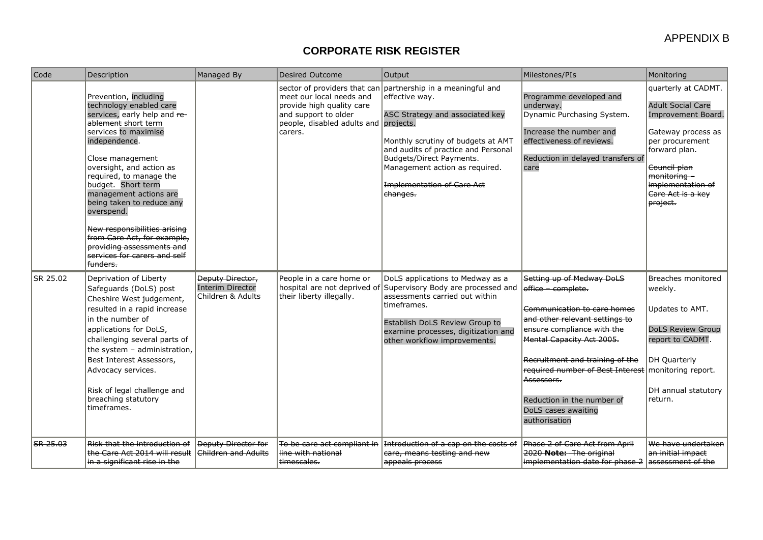| Code                         | Description                                                                                                                                                                                                                                                                                                                                                                                                                                                    | Managed By                                                              | <b>Desired Outcome</b>                                                                                                            | Output                                                                                                                                                                                                                                                                                                        | Milestones/PIs                                                                                                                                                                                                                                                                                                                              | Monitoring                                                                                                                                                                                                            |
|------------------------------|----------------------------------------------------------------------------------------------------------------------------------------------------------------------------------------------------------------------------------------------------------------------------------------------------------------------------------------------------------------------------------------------------------------------------------------------------------------|-------------------------------------------------------------------------|-----------------------------------------------------------------------------------------------------------------------------------|---------------------------------------------------------------------------------------------------------------------------------------------------------------------------------------------------------------------------------------------------------------------------------------------------------------|---------------------------------------------------------------------------------------------------------------------------------------------------------------------------------------------------------------------------------------------------------------------------------------------------------------------------------------------|-----------------------------------------------------------------------------------------------------------------------------------------------------------------------------------------------------------------------|
|                              | Prevention, including<br>technology enabled care<br>services, early help and re-<br>ablement short term<br>services to maximise<br>independence.<br>Close management<br>oversight, and action as<br>required, to manage the<br>budget. Short term<br>management actions are<br>being taken to reduce any<br>overspend.<br>New responsibilities arising<br>from Care Act, for example,<br>providing assessments and<br>services for carers and self<br>funders. |                                                                         | meet our local needs and<br>provide high quality care<br>and support to older<br>people, disabled adults and projects.<br>carers. | sector of providers that can partnership in a meaningful and<br>effective wav.<br>ASC Strategy and associated key<br>Monthly scrutiny of budgets at AMT<br>and audits of practice and Personal<br>Budgets/Direct Payments.<br>Management action as required.<br><b>Implementation of Care Act</b><br>ehanges. | Programme developed and<br>underway.<br>Dynamic Purchasing System.<br>Increase the number and<br>effectiveness of reviews.<br>Reduction in delayed transfers of<br>care                                                                                                                                                                     | quarterly at CADMT.<br><b>Adult Social Care</b><br>Improvement Board.<br>Gateway process as<br>per procurement<br>forward plan.<br>Council plan<br>monitoring -<br>implementation of<br>Care Act is a key<br>project. |
| SR 25.02                     | Deprivation of Liberty<br>Safeguards (DoLS) post<br>Cheshire West judgement,<br>resulted in a rapid increase<br>in the number of<br>applications for DoLS,<br>challenging several parts of<br>the system - administration,<br>Best Interest Assessors,<br>Advocacy services.<br>Risk of legal challenge and<br>breaching statutory<br>timeframes.                                                                                                              | <b>Deputy Director,</b><br><b>Interim Director</b><br>Children & Adults | People in a care home or<br>their liberty illegally.                                                                              | DoLS applications to Medway as a<br>hospital are not deprived of Supervisory Body are processed and<br>assessments carried out within<br>timeframes.<br>Establish DoLS Review Group to<br>examine processes, digitization and<br>other workflow improvements.                                                 | Setting up of Medway DoLS<br>office complete.<br>Communication to care homes<br>and other relevant settings to<br>ensure compliance with the<br><b>Mental Capacity Act 2005.</b><br>Recruitment and training of the<br>required number of Best Interest<br>Assessors.<br>Reduction in the number of<br>DoLS cases awaiting<br>authorisation | Breaches monitored<br>weekly.<br>Updates to AMT.<br><b>DoLS Review Group</b><br>report to CADMT.<br>DH Quarterly<br>monitoring report.<br>DH annual statutory<br>return.                                              |
| $\overline{\text{SR-25.03}}$ | Risk that the introduction of<br>the Care Act 2014 will result<br>in a significant rise in the                                                                                                                                                                                                                                                                                                                                                                 | <b>Deputy Director for</b><br><del>Children and Adults</del>            | To be care act compliant in<br><del>line with national</del><br>timescales.                                                       | Introduction of a cap on the costs of<br>care, means testing and new<br>appeals process                                                                                                                                                                                                                       | Phase 2 of Care Act from April<br>2020 Note: The original<br>implementation date for phase 2                                                                                                                                                                                                                                                | We have undertaken<br>an initial impact<br>assessment of the                                                                                                                                                          |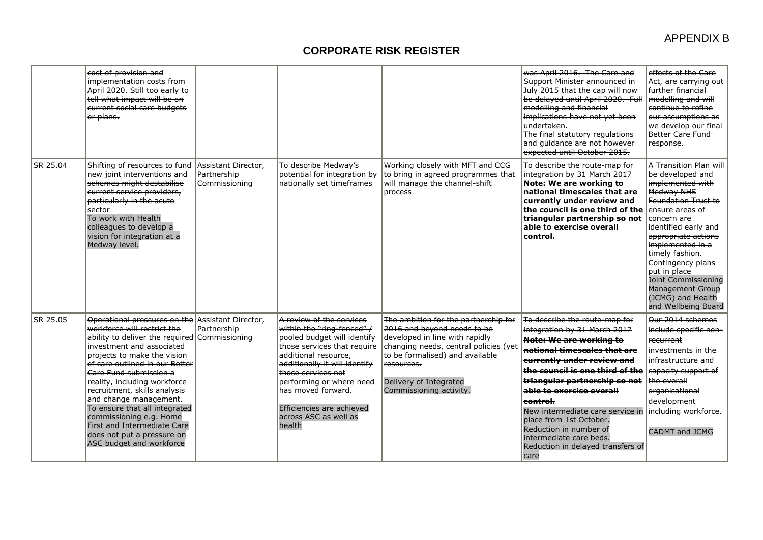|          | cost of provision and<br>implementation costs from<br>April 2020. Still too early to<br>tell what impact will be on<br>current social care budgets<br>or plans.                                                                                                                                                                                                                                                                                                                                         |                                                     |                                                                                                                                                                                                                                                                                                                                  |                                                                                                                                                                                                                                                      | was April 2016. The Care and<br>Support Minister announced in<br>July 2015 that the cap will now<br>be delayed until April 2020. Full<br>modelling and financial<br>implications have not yet been<br>undertaken.<br>The final statutory regulations<br>and quidance are not however<br>expected until October 2015.                                                                                                                       | effects of the Care<br>Act, are carrying out<br>further financial<br>modelling and will<br>continue to refine<br>our assumptions as<br>we develop our final<br>Better Care Fund<br>response.                                                                                                                                                                          |
|----------|---------------------------------------------------------------------------------------------------------------------------------------------------------------------------------------------------------------------------------------------------------------------------------------------------------------------------------------------------------------------------------------------------------------------------------------------------------------------------------------------------------|-----------------------------------------------------|----------------------------------------------------------------------------------------------------------------------------------------------------------------------------------------------------------------------------------------------------------------------------------------------------------------------------------|------------------------------------------------------------------------------------------------------------------------------------------------------------------------------------------------------------------------------------------------------|--------------------------------------------------------------------------------------------------------------------------------------------------------------------------------------------------------------------------------------------------------------------------------------------------------------------------------------------------------------------------------------------------------------------------------------------|-----------------------------------------------------------------------------------------------------------------------------------------------------------------------------------------------------------------------------------------------------------------------------------------------------------------------------------------------------------------------|
| SR 25.04 | Shifting of resources to fund<br>new joint interventions and<br>schemes might destabilise<br>current service providers,<br>particularly in the acute<br>sector<br>To work with Health<br>colleagues to develop a<br>vision for integration at a<br>Medway level.                                                                                                                                                                                                                                        | Assistant Director,<br>Partnership<br>Commissioning | To describe Medway's<br>potential for integration by<br>nationally set timeframes                                                                                                                                                                                                                                                | Working closely with MFT and CCG<br>to bring in agreed programmes that<br>will manage the channel-shift<br>process                                                                                                                                   | To describe the route-map for<br>integration by 31 March 2017<br>Note: We are working to<br>national timescales that are<br>currently under review and<br>the council is one third of the<br>triangular partnership so not<br>able to exercise overall<br>control.                                                                                                                                                                         | A Transition Plan will<br>be developed and<br>implemented with<br><b>Medway NHS</b><br>Foundation Trust to<br>ensure areas of<br>concern are<br>identified early and<br>appropriate actions<br>implemented in a<br>timely fashion.<br>Contingency plans<br>put in place<br>Joint Commissioning<br><b>Management Group</b><br>(JCMG) and Health<br>and Wellbeing Board |
| SR 25.05 | Operational pressures on the Assistant Director.<br>workforce will restrict the<br>ability to deliver the required Commissioning<br>investment and associated<br>projects to make the vision<br>of care outlined in our Better<br>Care Fund submission a<br>reality, including workforce<br>recruitment, skills analysis<br>and change management.<br>To ensure that all integrated<br>commissioning e.g. Home<br>First and Intermediate Care<br>does not put a pressure on<br>ASC budget and workforce | Partnership                                         | A review of the services<br>within the "ring-fenced" /<br>pooled budget will identify<br>those services that require<br>additional resource.<br>additionally it will identify<br><del>those services not</del><br>performing or where need<br>has moved forward.<br>Efficiencies are achieved<br>across ASC as well as<br>health | The ambition for the partnership for<br>2016 and beyond needs to be<br>developed in line with rapidly<br>changing needs, central policies (yet<br>to be formalised) and available<br>resources.<br>Delivery of Integrated<br>Commissioning activity. | To describe the route-map for<br>integration by 31 March 2017<br><b>Note: We are working to</b><br>national timescales that are<br>currently under review and<br>the council is one third of the<br>triangular partnership so not<br>able to exercise overall<br>control.<br>New intermediate care service in<br>place from 1st October.<br>Reduction in number of<br>intermediate care beds.<br>Reduction in delayed transfers of<br>care | Our 2014 schemes<br>include specific non-<br>re <del>current</del><br>investments in the<br>infrastructure and<br>capacity support of<br>the overall<br>organisational<br>development<br>including workforce.<br><b>CADMT and JCMG</b>                                                                                                                                |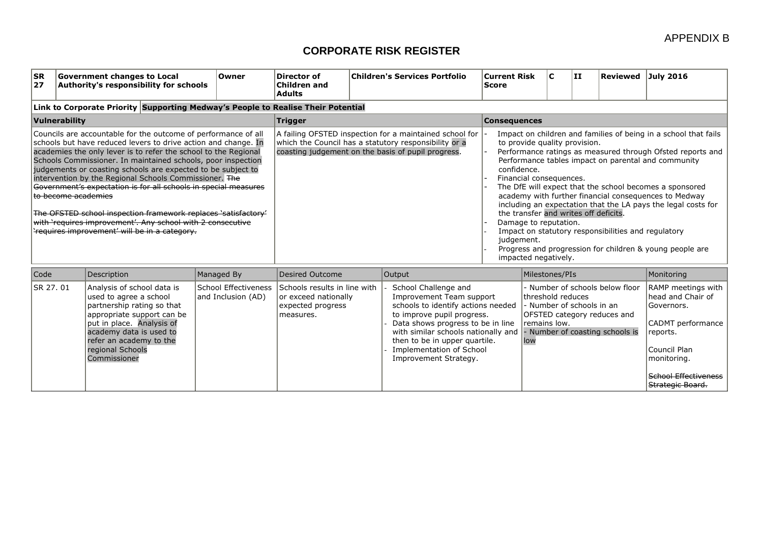| <b>SR</b><br> 27 |                     | <b>Government changes to Local</b><br>Authority's responsibility for schools                                                                                                                                                                                                                                                                                                                                                                                                                                                                                                                                                                      | Owner                                      | Director of<br><b>Children and</b><br><b>Adults</b>                                                                                                                    |  | <b>Children's Services Portfolio</b>                                                                                                                                                                                                                                                   | <b>Current Risk</b><br><b>Score</b>                                                                                                                                                                                                                                                                                                                                                                                                                                                                                                                                                                                                                                             | lC.                                                            | II. | Reviewed July 2016                                                                                |                                                                                                                                                                          |  |
|------------------|---------------------|---------------------------------------------------------------------------------------------------------------------------------------------------------------------------------------------------------------------------------------------------------------------------------------------------------------------------------------------------------------------------------------------------------------------------------------------------------------------------------------------------------------------------------------------------------------------------------------------------------------------------------------------------|--------------------------------------------|------------------------------------------------------------------------------------------------------------------------------------------------------------------------|--|----------------------------------------------------------------------------------------------------------------------------------------------------------------------------------------------------------------------------------------------------------------------------------------|---------------------------------------------------------------------------------------------------------------------------------------------------------------------------------------------------------------------------------------------------------------------------------------------------------------------------------------------------------------------------------------------------------------------------------------------------------------------------------------------------------------------------------------------------------------------------------------------------------------------------------------------------------------------------------|----------------------------------------------------------------|-----|---------------------------------------------------------------------------------------------------|--------------------------------------------------------------------------------------------------------------------------------------------------------------------------|--|
|                  |                     | Link to Corporate Priority Supporting Medway's People to Realise Their Potential                                                                                                                                                                                                                                                                                                                                                                                                                                                                                                                                                                  |                                            |                                                                                                                                                                        |  |                                                                                                                                                                                                                                                                                        |                                                                                                                                                                                                                                                                                                                                                                                                                                                                                                                                                                                                                                                                                 |                                                                |     |                                                                                                   |                                                                                                                                                                          |  |
|                  | Vulnerability       |                                                                                                                                                                                                                                                                                                                                                                                                                                                                                                                                                                                                                                                   |                                            | <b>Trigger</b><br><b>Consequences</b>                                                                                                                                  |  |                                                                                                                                                                                                                                                                                        |                                                                                                                                                                                                                                                                                                                                                                                                                                                                                                                                                                                                                                                                                 |                                                                |     |                                                                                                   |                                                                                                                                                                          |  |
|                  | to become academies | Councils are accountable for the outcome of performance of all<br>schools but have reduced levers to drive action and change. In<br>academies the only lever is to refer the school to the Regional<br>Schools Commissioner. In maintained schools, poor inspection<br>judgements or coasting schools are expected to be subject to<br>intervention by the Regional Schools Commissioner. The<br>Government's expectation is for all schools in special measures<br>The OFSTED school inspection framework replaces 'satisfactory'<br>with 'requires improvement'. Any school with 2 consecutive<br>Frequires improvement' will be in a category. |                                            | A failing OFSTED inspection for a maintained school for<br>which the Council has a statutory responsibility or a<br>coasting judgement on the basis of pupil progress. |  |                                                                                                                                                                                                                                                                                        | Impact on children and families of being in a school that fails<br>to provide quality provision.<br>Performance ratings as measured through Ofsted reports and<br>Performance tables impact on parental and community<br>confidence.<br>Financial consequences.<br>The DfE will expect that the school becomes a sponsored<br>academy with further financial consequences to Medway<br>including an expectation that the LA pays the legal costs for<br>the transfer and writes off deficits.<br>Damage to reputation.<br>Impact on statutory responsibilities and regulatory<br>judgement.<br>Progress and progression for children & young people are<br>impacted negatively. |                                                                |     |                                                                                                   |                                                                                                                                                                          |  |
| Code             |                     | Description                                                                                                                                                                                                                                                                                                                                                                                                                                                                                                                                                                                                                                       | Managed By                                 | <b>Desired Outcome</b>                                                                                                                                                 |  | Output                                                                                                                                                                                                                                                                                 |                                                                                                                                                                                                                                                                                                                                                                                                                                                                                                                                                                                                                                                                                 | Milestones/PIs<br>Monitoring                                   |     |                                                                                                   |                                                                                                                                                                          |  |
| SR 27.01         |                     | Analysis of school data is<br>used to agree a school<br>partnership rating so that<br>appropriate support can be<br>put in place. Analysis of<br>academy data is used to<br>refer an academy to the<br>regional Schools<br>Commissioner                                                                                                                                                                                                                                                                                                                                                                                                           | School Effectiveness<br>and Inclusion (AD) | Schools results in line with<br>or exceed nationally<br>expected progress<br>measures.                                                                                 |  | School Challenge and<br>Improvement Team support<br>schools to identify actions needed<br>to improve pupil progress.<br>Data shows progress to be in line<br>with similar schools nationally and<br>then to be in upper quartile.<br>Implementation of School<br>Improvement Strategy. | low                                                                                                                                                                                                                                                                                                                                                                                                                                                                                                                                                                                                                                                                             | threshold reduces<br>- Number of schools in an<br>remains low. |     | - Number of schools below floor<br>OFSTED category reduces and<br>- Number of coasting schools is | RAMP meetings with<br>head and Chair of<br>Governors.<br>CADMT performance<br>reports.<br>Council Plan<br>monitoring.<br><b>School Effectiveness</b><br>Strategic Board. |  |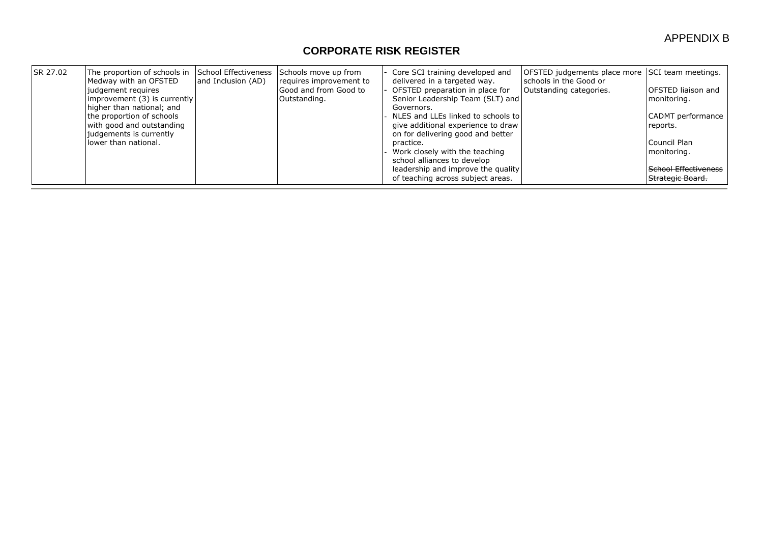| <b>ISR 27.02</b> | The proportion of schools in<br>Medway with an OFSTED<br>judgement requires<br>improvement (3) is currently<br>higher than national; and<br>the proportion of schools<br>with good and outstanding<br>judgements is currently<br>llower than national. | School Effectiveness<br>and Inclusion (AD) | Schools move up from<br>requires improvement to<br>Good and from Good to<br>Outstanding. | Core SCI training developed and<br>delivered in a targeted way.<br>OFSTED preparation in place for<br>Senior Leadership Team (SLT) and<br>Governors.<br>NLES and LLEs linked to schools to<br>give additional experience to draw<br>on for delivering good and better<br>practice.<br>Work closely with the teaching<br>school alliances to develop | OFSTED judgements place more SCI team meetings.<br>schools in the Good or<br>Outstanding categories. | <b>IOFSTED liaison and</b><br>monitoring.<br>CADMT performance<br>reports.<br>Council Plan<br>monitoring. |
|------------------|--------------------------------------------------------------------------------------------------------------------------------------------------------------------------------------------------------------------------------------------------------|--------------------------------------------|------------------------------------------------------------------------------------------|-----------------------------------------------------------------------------------------------------------------------------------------------------------------------------------------------------------------------------------------------------------------------------------------------------------------------------------------------------|------------------------------------------------------------------------------------------------------|-----------------------------------------------------------------------------------------------------------|
|                  |                                                                                                                                                                                                                                                        |                                            |                                                                                          | leadership and improve the quality<br>of teaching across subject areas.                                                                                                                                                                                                                                                                             |                                                                                                      | School Effectiveness<br>Strategic Board.                                                                  |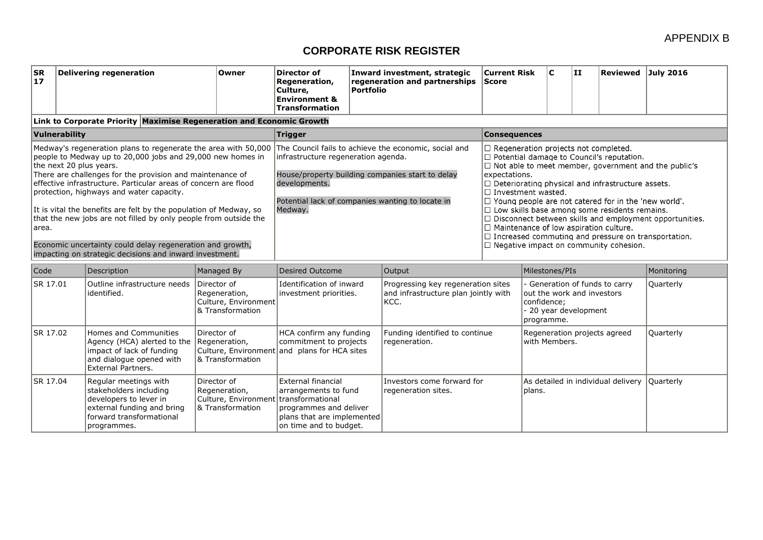#### APPENDIX B

| SR<br>17                                                                                                                                                                                                                                                                                                                                                                                                                                                                                                                                                                                                      |  | <b>Delivering regeneration</b>                                                                                                                     | Owner                                                                                            | Director of<br>Regeneration,<br>Culture,<br><b>Environment &amp;</b><br><b>Transformation</b>                                                     | <b>Portfolio</b>                                                                                                                                                                                                                                                                                                                                                                                                                                                                                                                                                                                                                                                                                                                                                            | Inward investment, strategic<br>regeneration and partnerships                      | <b>Current Risk</b><br><b>Score</b> |                                                         | $\mathbf{C}$ | ΙIJ                   | Reviewed July 2016                 |                  |
|---------------------------------------------------------------------------------------------------------------------------------------------------------------------------------------------------------------------------------------------------------------------------------------------------------------------------------------------------------------------------------------------------------------------------------------------------------------------------------------------------------------------------------------------------------------------------------------------------------------|--|----------------------------------------------------------------------------------------------------------------------------------------------------|--------------------------------------------------------------------------------------------------|---------------------------------------------------------------------------------------------------------------------------------------------------|-----------------------------------------------------------------------------------------------------------------------------------------------------------------------------------------------------------------------------------------------------------------------------------------------------------------------------------------------------------------------------------------------------------------------------------------------------------------------------------------------------------------------------------------------------------------------------------------------------------------------------------------------------------------------------------------------------------------------------------------------------------------------------|------------------------------------------------------------------------------------|-------------------------------------|---------------------------------------------------------|--------------|-----------------------|------------------------------------|------------------|
|                                                                                                                                                                                                                                                                                                                                                                                                                                                                                                                                                                                                               |  | Link to Corporate Priority Maximise Regeneration and Economic Growth                                                                               |                                                                                                  |                                                                                                                                                   |                                                                                                                                                                                                                                                                                                                                                                                                                                                                                                                                                                                                                                                                                                                                                                             |                                                                                    |                                     |                                                         |              |                       |                                    |                  |
| Vulnerability                                                                                                                                                                                                                                                                                                                                                                                                                                                                                                                                                                                                 |  |                                                                                                                                                    |                                                                                                  | Trigger                                                                                                                                           |                                                                                                                                                                                                                                                                                                                                                                                                                                                                                                                                                                                                                                                                                                                                                                             |                                                                                    | <b>Consequences</b>                 |                                                         |              |                       |                                    |                  |
| Medway's regeneration plans to regenerate the area with 50,000<br>people to Medway up to 20,000 jobs and 29,000 new homes in<br>the next 20 plus years.<br>There are challenges for the provision and maintenance of<br>effective infrastructure. Particular areas of concern are flood<br>protection, highways and water capacity.<br>It is vital the benefits are felt by the population of Medway, so<br>that the new jobs are not filled by only people from outside the<br>area.<br>Economic uncertainty could delay regeneration and growth,<br>impacting on strategic decisions and inward investment. |  |                                                                                                                                                    |                                                                                                  | The Council fails to achieve the economic, social and<br>developments.<br>Medway.                                                                 | $\Box$ Regeneration projects not completed.<br>□ Potential damage to Council's reputation.<br>infrastructure regeneration agenda.<br>$\Box$ Not able to meet member, government and the public's<br>House/property building companies start to delay<br>expectations.<br>$\Box$ Deteriorating physical and infrastructure assets.<br>$\Box$ Investment wasted.<br>Potential lack of companies wanting to locate in<br>$\Box$ Young people are not catered for in the 'new world'.<br>$\Box$ Low skills base among some residents remains.<br>$\Box$ Disconnect between skills and employment opportunities.<br>$\Box$ Maintenance of low aspiration culture.<br>$\Box$ Increased commuting and pressure on transportation.<br>$\Box$ Negative impact on community cohesion. |                                                                                    |                                     |                                                         |              |                       |                                    |                  |
| Code                                                                                                                                                                                                                                                                                                                                                                                                                                                                                                                                                                                                          |  | Description                                                                                                                                        | Managed By                                                                                       | <b>Desired Outcome</b>                                                                                                                            |                                                                                                                                                                                                                                                                                                                                                                                                                                                                                                                                                                                                                                                                                                                                                                             | Output                                                                             |                                     | Milestones/PIs                                          |              | Monitoring            |                                    |                  |
| SR 17.01                                                                                                                                                                                                                                                                                                                                                                                                                                                                                                                                                                                                      |  | Outline infrastructure needs<br>identified.                                                                                                        | Director of<br>Regeneration,<br>Culture, Environment<br>& Transformation                         | Identification of inward<br>investment priorities.                                                                                                |                                                                                                                                                                                                                                                                                                                                                                                                                                                                                                                                                                                                                                                                                                                                                                             | Progressing key regeneration sites<br>and infrastructure plan jointly with<br>KCC. |                                     | out the work and investors<br>confidence:<br>programme. |              | - 20 year development | Generation of funds to carry       | Quarterly        |
| SR 17.02                                                                                                                                                                                                                                                                                                                                                                                                                                                                                                                                                                                                      |  | Homes and Communities<br>Agency (HCA) alerted to the<br>impact of lack of funding<br>and dialogue opened with<br><b>External Partners.</b>         | Director of<br>Regeneration,<br>Culture, Environment and plans for HCA sites<br>8 Transformation | HCA confirm any funding<br>commitment to projects                                                                                                 |                                                                                                                                                                                                                                                                                                                                                                                                                                                                                                                                                                                                                                                                                                                                                                             | Funding identified to continue<br>regeneration.                                    |                                     | Regeneration projects agreed<br>with Members.           |              | Quarterly             |                                    |                  |
| SR 17.04                                                                                                                                                                                                                                                                                                                                                                                                                                                                                                                                                                                                      |  | Regular meetings with<br>stakeholders including<br>developers to lever in<br>external funding and bring<br>forward transformational<br>programmes. | Director of<br>Regeneration,<br>Culture, Environment<br>& Transformation                         | External financial<br>arrangements to fund<br>Itransformational<br>programmes and deliver<br>plans that are implemented<br>on time and to budget. |                                                                                                                                                                                                                                                                                                                                                                                                                                                                                                                                                                                                                                                                                                                                                                             | Investors come forward for<br>regeneration sites.                                  |                                     | plans.                                                  |              |                       | As detailed in individual delivery | <b>Ouarterly</b> |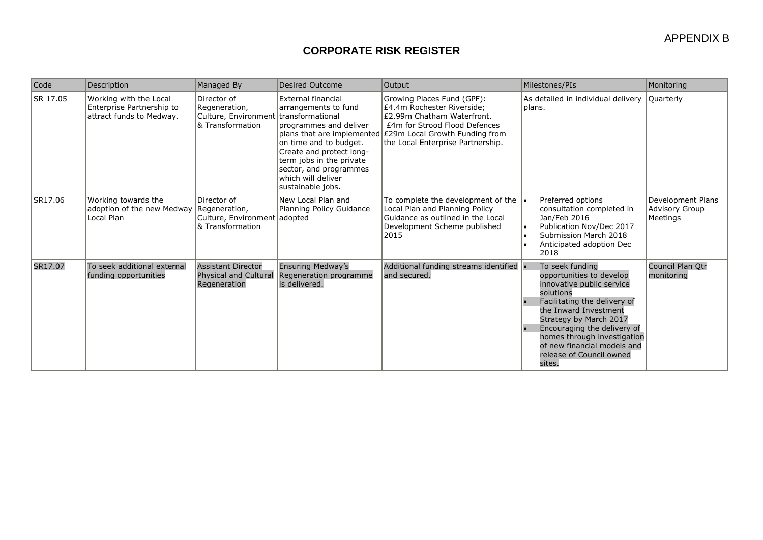| Code     | Description                                                                     | Managed By                                                                                | Desired Outcome                                                                                                                                                                                                                    | Output                                                                                                                                                                                                                    | Milestones/PIs                                                                                                                                                                                                                                                                                              | Monitoring                                      |
|----------|---------------------------------------------------------------------------------|-------------------------------------------------------------------------------------------|------------------------------------------------------------------------------------------------------------------------------------------------------------------------------------------------------------------------------------|---------------------------------------------------------------------------------------------------------------------------------------------------------------------------------------------------------------------------|-------------------------------------------------------------------------------------------------------------------------------------------------------------------------------------------------------------------------------------------------------------------------------------------------------------|-------------------------------------------------|
| SR 17.05 | Working with the Local<br>Enterprise Partnership to<br>attract funds to Medway. | Director of<br>Regeneration,<br>Culture, Environment transformational<br>& Transformation | <b>External financial</b><br>arrangements to fund<br>programmes and deliver<br>on time and to budget.<br>Create and protect long-<br>term jobs in the private<br>sector, and programmes<br>which will deliver<br>sustainable jobs. | Growing Places Fund (GPF):<br>£4.4m Rochester Riverside:<br>£2.99m Chatham Waterfront.<br>£4m for Strood Flood Defences<br>plans that are implemented £29m Local Growth Funding from<br>the Local Enterprise Partnership. | As detailed in individual delivery<br>Iplans.                                                                                                                                                                                                                                                               | <b>Quarterly</b>                                |
| SR17.06  | Working towards the<br>adoption of the new Medway Regeneration,<br>Local Plan   | Director of<br>Culture, Environment adopted<br>& Transformation                           | New Local Plan and<br>Planning Policy Guidance                                                                                                                                                                                     | To complete the development of the<br>Local Plan and Planning Policy<br>Guidance as outlined in the Local<br>Development Scheme published<br>2015                                                                         | Preferred options<br>consultation completed in<br>Jan/Feb 2016<br>Publication Nov/Dec 2017<br>Submission March 2018<br>Anticipated adoption Dec<br>2018                                                                                                                                                     | Development Plans<br>Advisory Group<br>Meetings |
| SR17.07  | To seek additional external<br>funding opportunities                            | <b>Assistant Director</b><br><b>Physical and Cultural</b><br>Regeneration                 | <b>Ensuring Medway's</b><br>Regeneration programme<br>is delivered.                                                                                                                                                                | Additional funding streams identified .<br>and secured.                                                                                                                                                                   | To seek funding<br>opportunities to develop<br>innovative public service<br>solutions<br>Facilitating the delivery of<br>the Inward Investment<br>Strategy by March 2017<br>Encouraging the delivery of<br>homes through investigation<br>of new financial models and<br>release of Council owned<br>sites. | Council Plan Otr<br>monitoring                  |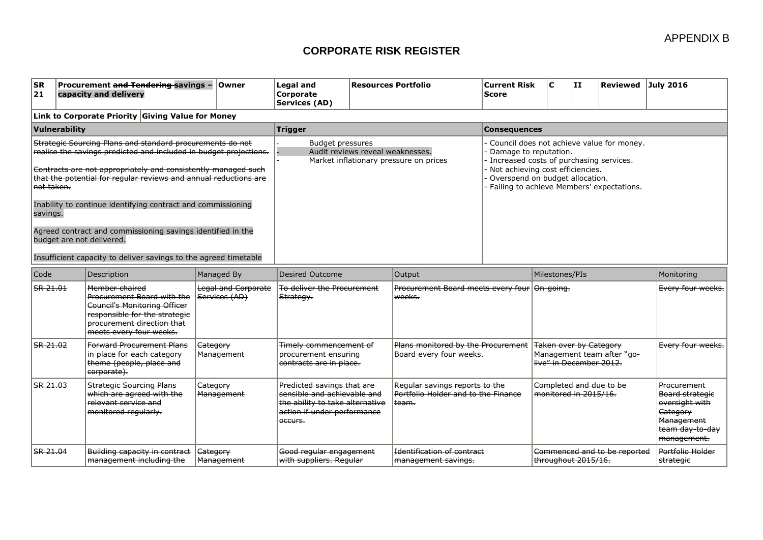| <b>ISR</b><br>Procurement and Tendering-savings -<br><b>Owner</b><br> 21<br>capacity and delivery                                                                                                                                                                                                                                                                                                                                                                                                                                          | Legal and<br><b>Corporate</b><br>Services (AD) | Resources Portfolio                                                        | <b>Current Risk</b><br><b>Score</b>                                                                                                                                                                                               | IC. | ШI | Reviewed July 2016 |  |  |  |  |  |
|--------------------------------------------------------------------------------------------------------------------------------------------------------------------------------------------------------------------------------------------------------------------------------------------------------------------------------------------------------------------------------------------------------------------------------------------------------------------------------------------------------------------------------------------|------------------------------------------------|----------------------------------------------------------------------------|-----------------------------------------------------------------------------------------------------------------------------------------------------------------------------------------------------------------------------------|-----|----|--------------------|--|--|--|--|--|
| Link to Corporate Priority Giving Value for Money                                                                                                                                                                                                                                                                                                                                                                                                                                                                                          |                                                |                                                                            |                                                                                                                                                                                                                                   |     |    |                    |  |  |  |  |  |
| Vulnerability                                                                                                                                                                                                                                                                                                                                                                                                                                                                                                                              | <b>Trigger</b>                                 | <b>Consequences</b>                                                        |                                                                                                                                                                                                                                   |     |    |                    |  |  |  |  |  |
| Strategic Sourcing Plans and standard procurements do not<br>realise the savings predicted and included in budget projections.<br>Contracts are not appropriately and consistently managed such<br>that the potential for regular reviews and annual reductions are<br>l <del>not taken.</del><br>Inability to continue identifying contract and commissioning<br>savings.<br>Agreed contract and commissioning savings identified in the<br>budget are not delivered.<br>Insufficient capacity to deliver savings to the agreed timetable | Budget pressures                               | Audit reviews reveal weaknesses.<br>Market inflationary pressure on prices | Council does not achieve value for money.<br>Damage to reputation.<br>Increased costs of purchasing services.<br>Not achieving cost efficiencies.<br>Overspend on budget allocation.<br>Failing to achieve Members' expectations. |     |    |                    |  |  |  |  |  |

| Code     | Description                                                                                                                                                                   | Managed By                           | Desired Outcome                                                                                                                        | Output                                                                                    | Milestones/PIs                                                                         | Monitoring                                                                                                          |
|----------|-------------------------------------------------------------------------------------------------------------------------------------------------------------------------------|--------------------------------------|----------------------------------------------------------------------------------------------------------------------------------------|-------------------------------------------------------------------------------------------|----------------------------------------------------------------------------------------|---------------------------------------------------------------------------------------------------------------------|
| SR 21.01 | Member chaired<br>Procurement Board with the<br><b>Council's Monitoring Officer</b><br>responsible for the strategic<br>procurement direction that<br>meets every four weeks. | Legal and Corporate<br>Services (AD) | To deliver the Procurement<br>Strategy.                                                                                                | Procurement Board meets every four<br>weeks.                                              | O <del>n-going.</del>                                                                  | Every four weeks.                                                                                                   |
| SR 21.02 | <b>Forward Procurement Plans</b><br>in place for each category<br>theme (people, place and<br>corporate).                                                                     | Gategory<br>Management               | Timely commencement of<br>procurement ensuring<br>contracts are in place.                                                              | Plans monitored by the Procurement<br>Board every four weeks.                             | <b>Taken over by Category</b><br>Management team after "go-<br>live" in December 2012. | Every four weeks.                                                                                                   |
| SR 21.03 | <b>Strategic Sourcing Plans</b><br>which are agreed with the<br>relevant service and<br>monitored regularly.                                                                  | Gategory<br>Management               | Predicted savings that are<br>sensible and achievable and<br>the ability to take alternative<br>action if under performance<br>occurs. | Regular savings reports to the<br>Portfolio Holder and to the Finance<br><del>team.</del> | Completed and due to be<br>monitored in 2015/16.                                       | Procurement<br>Board strategie<br>oversight with<br>Gategory<br><b>Management</b><br>team day-to-day<br>management. |
| SR 21.04 | Building capacity in contract<br>management including the                                                                                                                     | Gategory.<br>Management              | Good regular engagement<br>with suppliers. Regular                                                                                     | <b>Identification of contract</b><br>management savings.                                  | Commenced and to be reported<br>throughout 2015/16.                                    | Portfolio Holder<br>strategie                                                                                       |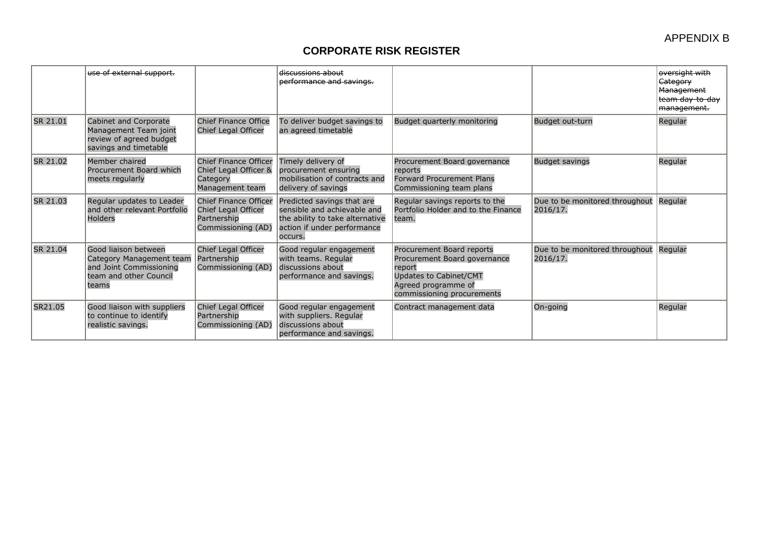|          | use of external support.                                                                                       |                                                                                          | discussions about<br>performance and savings.                                                                                          |                                                                                                                                                    |                                            | oversight with<br>Category<br>Management<br>team day to day<br>management. |
|----------|----------------------------------------------------------------------------------------------------------------|------------------------------------------------------------------------------------------|----------------------------------------------------------------------------------------------------------------------------------------|----------------------------------------------------------------------------------------------------------------------------------------------------|--------------------------------------------|----------------------------------------------------------------------------|
| SR 21.01 | Cabinet and Corporate<br>Management Team joint<br>review of agreed budget<br>savings and timetable             | <b>Chief Finance Office</b><br><b>Chief Legal Officer</b>                                | To deliver budget savings to<br>an agreed timetable                                                                                    | Budget quarterly monitoring                                                                                                                        | Budget out-turn                            | Regular                                                                    |
| SR 21.02 | Member chaired<br>Procurement Board which<br>meets regularly                                                   | Chief Finance Officer<br>Chief Legal Officer &<br>Category<br>Management team            | Timely delivery of<br>procurement ensuring<br>mobilisation of contracts and<br>delivery of savings                                     | Procurement Board governance<br>reports<br><b>Forward Procurement Plans</b><br>Commissioning team plans                                            | <b>Budget savings</b>                      | Regular                                                                    |
| SR 21.03 | Regular updates to Leader<br>and other relevant Portfolio<br><b>Holders</b>                                    | <b>Chief Finance Officer</b><br>Chief Legal Officer<br>Partnership<br>Commissioning (AD) | Predicted savings that are<br>sensible and achievable and<br>the ability to take alternative<br>action if under performance<br>occurs. | Regular savings reports to the<br>Portfolio Holder and to the Finance<br>team.                                                                     | Due to be monitored throughout<br>2016/17. | Regular                                                                    |
| SR 21.04 | Good liaison between<br>Category Management team<br>and Joint Commissioning<br>team and other Council<br>teams | Chief Legal Officer<br>Partnership<br>Commissioning (AD)                                 | Good regular engagement<br>with teams. Regular<br>discussions about<br>performance and savings.                                        | Procurement Board reports<br>Procurement Board governance<br>report<br>Updates to Cabinet/CMT<br>Agreed programme of<br>commissioning procurements | Due to be monitored throughout<br>2016/17. | Regular                                                                    |
| SR21.05  | Good liaison with suppliers<br>to continue to identify<br>realistic savings.                                   | Chief Legal Officer<br>Partnership<br>Commissioning (AD)                                 | Good regular engagement<br>with suppliers. Regular<br>discussions about<br>performance and savings.                                    | Contract management data                                                                                                                           | On-going                                   | Regular                                                                    |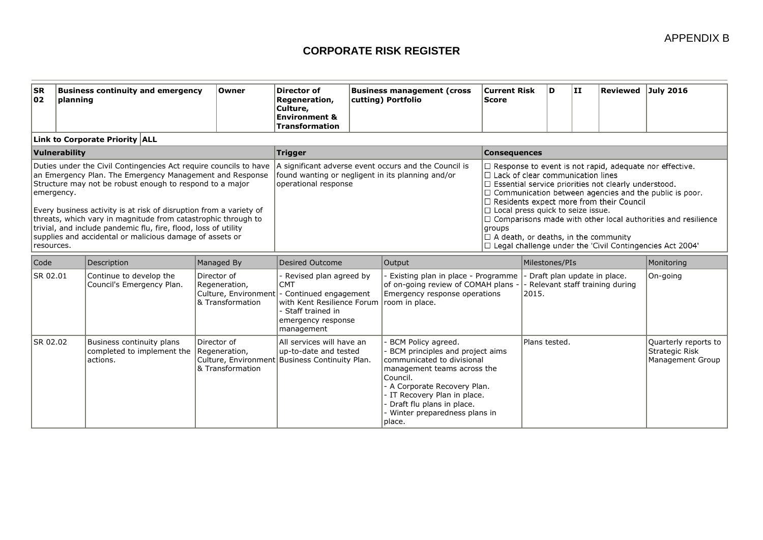| <b>SR</b><br>102                                                                                                                                                                                                                                                                                                                                                                                                                                                                            | planning                       | <b>Business continuity and emergency</b>                | Owner                                                                                              | <b>Director of</b><br>Regeneration,<br>Culture,<br><b>Environment &amp;</b><br><b>Transformation</b>                                                 |                                                                                                                                                                                                                                                                                                                                                                                                                                                                                                                                                                                                                                                            | <b>Business management (cross</b><br>cutting) Portfolio                                                                                                                                                                                                                   | <b>Current Risk</b><br><b>Score</b> | D                                                                          |  | II.                                                               | Reviewed | <b>July 2016</b> |
|---------------------------------------------------------------------------------------------------------------------------------------------------------------------------------------------------------------------------------------------------------------------------------------------------------------------------------------------------------------------------------------------------------------------------------------------------------------------------------------------|--------------------------------|---------------------------------------------------------|----------------------------------------------------------------------------------------------------|------------------------------------------------------------------------------------------------------------------------------------------------------|------------------------------------------------------------------------------------------------------------------------------------------------------------------------------------------------------------------------------------------------------------------------------------------------------------------------------------------------------------------------------------------------------------------------------------------------------------------------------------------------------------------------------------------------------------------------------------------------------------------------------------------------------------|---------------------------------------------------------------------------------------------------------------------------------------------------------------------------------------------------------------------------------------------------------------------------|-------------------------------------|----------------------------------------------------------------------------|--|-------------------------------------------------------------------|----------|------------------|
|                                                                                                                                                                                                                                                                                                                                                                                                                                                                                             | Link to Corporate Priority ALL |                                                         |                                                                                                    |                                                                                                                                                      |                                                                                                                                                                                                                                                                                                                                                                                                                                                                                                                                                                                                                                                            |                                                                                                                                                                                                                                                                           |                                     |                                                                            |  |                                                                   |          |                  |
| Vulnerability                                                                                                                                                                                                                                                                                                                                                                                                                                                                               |                                |                                                         |                                                                                                    | Trigger                                                                                                                                              |                                                                                                                                                                                                                                                                                                                                                                                                                                                                                                                                                                                                                                                            |                                                                                                                                                                                                                                                                           | <b>Consequences</b>                 |                                                                            |  |                                                                   |          |                  |
| Duties under the Civil Contingencies Act require councils to have<br>an Emergency Plan. The Emergency Management and Response<br>Structure may not be robust enough to respond to a major<br>emergency.<br>Every business activity is at risk of disruption from a variety of<br>threats, which vary in magnitude from catastrophic through to<br>trivial, and include pandemic flu, fire, flood, loss of utility<br>supplies and accidental or malicious damage of assets or<br>resources. |                                |                                                         |                                                                                                    | operational response                                                                                                                                 | A significant adverse event occurs and the Council is<br>$\Box$ Response to event is not rapid, adequate nor effective.<br>found wanting or negligent in its planning and/or<br>$\Box$ Lack of clear communication lines<br>$\Box$ Essential service priorities not clearly understood.<br>$\Box$ Communication between agencies and the public is poor.<br>$\Box$ Residents expect more from their Council<br>$\Box$ Local press quick to seize issue.<br>$\Box$ Comparisons made with other local authorities and resilience<br>groups<br>$\Box$ A death, or deaths, in the community<br>$\Box$ Legal challenge under the 'Civil Contingencies Act 2004' |                                                                                                                                                                                                                                                                           |                                     |                                                                            |  |                                                                   |          |                  |
| Code                                                                                                                                                                                                                                                                                                                                                                                                                                                                                        | Description                    |                                                         | Managed By                                                                                         | Desired Outcome                                                                                                                                      |                                                                                                                                                                                                                                                                                                                                                                                                                                                                                                                                                                                                                                                            | Output                                                                                                                                                                                                                                                                    |                                     | Milestones/PIs                                                             |  |                                                                   |          | Monitoring       |
| SR 02.01                                                                                                                                                                                                                                                                                                                                                                                                                                                                                    |                                | Continue to develop the<br>Council's Emergency Plan.    | Director of<br>Regeneration,<br>Culture, Environment<br>8. Transformation                          | Revised plan agreed by<br><b>CMT</b><br>- Continued engagement<br>with Kent Resilience Forum<br>Staff trained in<br>emergency response<br>management |                                                                                                                                                                                                                                                                                                                                                                                                                                                                                                                                                                                                                                                            | - Existing plan in place - Programme<br>of on-going review of COMAH plans -<br>Emergency response operations<br>room in place.                                                                                                                                            |                                     | - Draft plan update in place.<br>- Relevant staff training during<br>2015. |  |                                                                   | On-going |                  |
| SR 02.02                                                                                                                                                                                                                                                                                                                                                                                                                                                                                    | actions.                       | Business continuity plans<br>completed to implement the | Director of<br>Regeneration,<br>Culture, Environment Business Continuity Plan.<br>& Transformation | All services will have an<br>up-to-date and tested                                                                                                   |                                                                                                                                                                                                                                                                                                                                                                                                                                                                                                                                                                                                                                                            | BCM Policy agreed.<br>BCM principles and project aims<br>communicated to divisional<br>management teams across the<br>Council.<br>- A Corporate Recovery Plan.<br>- IT Recovery Plan in place.<br>- Draft flu plans in place.<br>- Winter preparedness plans in<br>place. |                                     | Plans tested.                                                              |  | Quarterly reports to<br><b>Strategic Risk</b><br>Management Group |          |                  |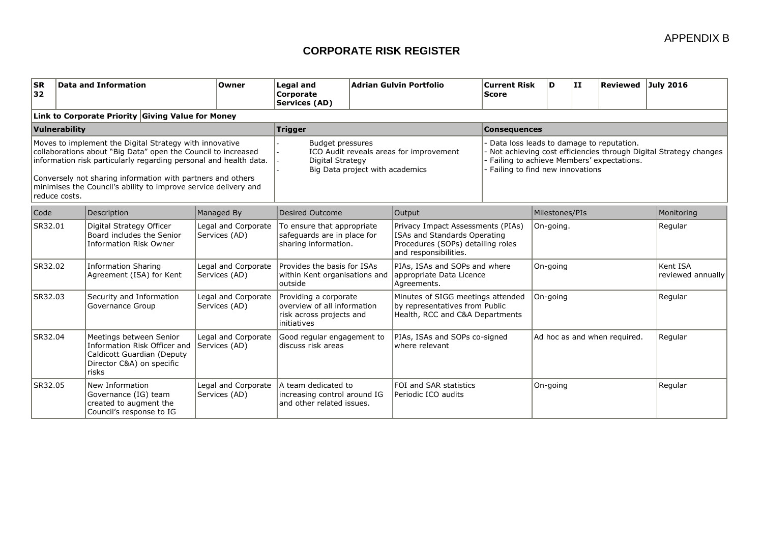| <b>SR</b><br>32                                                                                                                                                                                                                                                                                                                                  |               | Data and Information                                                                                                        | Owner                                | Legal and<br>Corporate<br>Services (AD)                                                                                   |                                                                                                            | Adrian Gulvin Portfolio                                                                                                         | <b>Current Risk</b><br><b>Score</b>                                                                                                                                                          | D                            | IН         | Reviewed July 2016            |         |
|--------------------------------------------------------------------------------------------------------------------------------------------------------------------------------------------------------------------------------------------------------------------------------------------------------------------------------------------------|---------------|-----------------------------------------------------------------------------------------------------------------------------|--------------------------------------|---------------------------------------------------------------------------------------------------------------------------|------------------------------------------------------------------------------------------------------------|---------------------------------------------------------------------------------------------------------------------------------|----------------------------------------------------------------------------------------------------------------------------------------------------------------------------------------------|------------------------------|------------|-------------------------------|---------|
|                                                                                                                                                                                                                                                                                                                                                  |               | Link to Corporate Priority Giving Value for Money                                                                           |                                      |                                                                                                                           |                                                                                                            |                                                                                                                                 |                                                                                                                                                                                              |                              |            |                               |         |
|                                                                                                                                                                                                                                                                                                                                                  | Vulnerability |                                                                                                                             |                                      | <b>Trigger</b>                                                                                                            |                                                                                                            |                                                                                                                                 | <b>Consequences</b>                                                                                                                                                                          |                              |            |                               |         |
| Moves to implement the Digital Strategy with innovative<br>collaborations about "Big Data" open the Council to increased<br>information risk particularly regarding personal and health data.<br>Conversely not sharing information with partners and others<br>minimises the Council's ability to improve service delivery and<br>reduce costs. |               |                                                                                                                             |                                      | <b>Budget pressures</b><br>ICO Audit reveals areas for improvement<br>Digital Strategy<br>Big Data project with academics |                                                                                                            |                                                                                                                                 | Data loss leads to damage to reputation.<br>Not achieving cost efficiencies through Digital Strategy changes<br>Failing to achieve Members' expectations.<br>Failing to find new innovations |                              |            |                               |         |
| Code                                                                                                                                                                                                                                                                                                                                             |               | Description                                                                                                                 | Managed By                           | Desired Outcome                                                                                                           |                                                                                                            | Output                                                                                                                          | Milestones/PIs                                                                                                                                                                               |                              | Monitoring |                               |         |
| SR32.01                                                                                                                                                                                                                                                                                                                                          |               | Digital Strategy Officer<br>Board includes the Senior<br><b>Information Risk Owner</b>                                      | Legal and Corporate<br>Services (AD) | To ensure that appropriate<br>safeguards are in place for<br>sharing information.                                         |                                                                                                            | Privacy Impact Assessments (PIAs)<br>ISAs and Standards Operating<br>Procedures (SOPs) detailing roles<br>and responsibilities. |                                                                                                                                                                                              | On-going.                    |            |                               | Regular |
| SR32.02                                                                                                                                                                                                                                                                                                                                          |               | <b>Information Sharing</b><br>Agreement (ISA) for Kent                                                                      | Legal and Corporate<br>Services (AD) | outside                                                                                                                   | Provides the basis for ISAs<br>within Kent organisations and<br>Agreements.                                |                                                                                                                                 | PIAs, ISAs and SOPs and where<br>appropriate Data Licence                                                                                                                                    | On-going                     |            | Kent ISA<br>reviewed annually |         |
| SR32.03                                                                                                                                                                                                                                                                                                                                          |               | Security and Information<br>Governance Group                                                                                | Legal and Corporate<br>Services (AD) | initiatives                                                                                                               | Providing a corporate<br>overview of all information<br>risk across projects and                           |                                                                                                                                 | Minutes of SIGG meetings attended<br>by representatives from Public<br>Health, RCC and C&A Departments                                                                                       | On-going                     |            |                               | Regular |
| SR32.04                                                                                                                                                                                                                                                                                                                                          |               | Meetings between Senior<br>Information Risk Officer and<br>Caldicott Guardian (Deputy<br>Director C&A) on specific<br>risks | Legal and Corporate<br>Services (AD) | Good regular engagement to<br>ldiscuss risk areas                                                                         |                                                                                                            | PIAs, ISAs and SOPs co-signed<br>where relevant                                                                                 |                                                                                                                                                                                              | Ad hoc as and when required. |            | Regular                       |         |
| SR32.05                                                                                                                                                                                                                                                                                                                                          |               | New Information<br>Governance (IG) team<br>created to augment the<br>Council's response to IG                               | Legal and Corporate<br>Services (AD) | A team dedicated to                                                                                                       | FOI and SAR statistics<br>increasing control around IG<br>Periodic ICO audits<br>and other related issues. |                                                                                                                                 |                                                                                                                                                                                              | On-going                     |            |                               | Regular |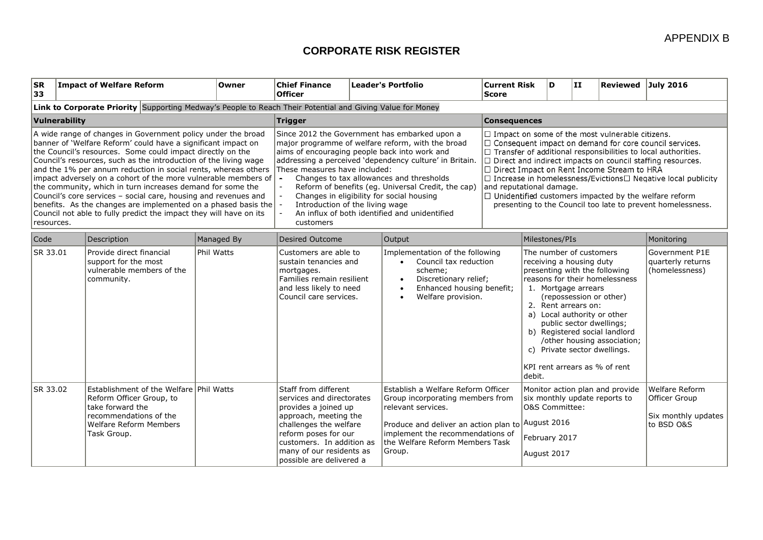| <b>SR</b><br>33                                                                                                                                                                                                                                                                                                                                                                                                                                                                                                                                                                                                                                                                            | <b>Impact of Welfare Reform</b>    |                                                                                                                         | Owner                                                                                                     | <b>Chief Finance</b><br><b>Officer</b>                                                                                                                                                                                                                                                                                                                                                                                                                                                                                   |  | <b>Leader's Portfolio</b>                                                                                                                                                                                                                  | <b>Current Risk</b><br><b>Score</b>                                                                                                            | D                                                                                                                                                                                                                                                                                                                                                                                                                                                                                                                                                       | ΙIJ                                                                                                                                                                                                                                                                                                                                                                                         | Reviewed                                                             | July 2016  |
|--------------------------------------------------------------------------------------------------------------------------------------------------------------------------------------------------------------------------------------------------------------------------------------------------------------------------------------------------------------------------------------------------------------------------------------------------------------------------------------------------------------------------------------------------------------------------------------------------------------------------------------------------------------------------------------------|------------------------------------|-------------------------------------------------------------------------------------------------------------------------|-----------------------------------------------------------------------------------------------------------|--------------------------------------------------------------------------------------------------------------------------------------------------------------------------------------------------------------------------------------------------------------------------------------------------------------------------------------------------------------------------------------------------------------------------------------------------------------------------------------------------------------------------|--|--------------------------------------------------------------------------------------------------------------------------------------------------------------------------------------------------------------------------------------------|------------------------------------------------------------------------------------------------------------------------------------------------|---------------------------------------------------------------------------------------------------------------------------------------------------------------------------------------------------------------------------------------------------------------------------------------------------------------------------------------------------------------------------------------------------------------------------------------------------------------------------------------------------------------------------------------------------------|---------------------------------------------------------------------------------------------------------------------------------------------------------------------------------------------------------------------------------------------------------------------------------------------------------------------------------------------------------------------------------------------|----------------------------------------------------------------------|------------|
|                                                                                                                                                                                                                                                                                                                                                                                                                                                                                                                                                                                                                                                                                            |                                    |                                                                                                                         | Link to Corporate Priority Supporting Medway's People to Reach Their Potential and Giving Value for Money |                                                                                                                                                                                                                                                                                                                                                                                                                                                                                                                          |  |                                                                                                                                                                                                                                            |                                                                                                                                                |                                                                                                                                                                                                                                                                                                                                                                                                                                                                                                                                                         |                                                                                                                                                                                                                                                                                                                                                                                             |                                                                      |            |
|                                                                                                                                                                                                                                                                                                                                                                                                                                                                                                                                                                                                                                                                                            | Vulnerability                      |                                                                                                                         |                                                                                                           | <b>Trigger</b>                                                                                                                                                                                                                                                                                                                                                                                                                                                                                                           |  |                                                                                                                                                                                                                                            |                                                                                                                                                | <b>Consequences</b>                                                                                                                                                                                                                                                                                                                                                                                                                                                                                                                                     |                                                                                                                                                                                                                                                                                                                                                                                             |                                                                      |            |
| A wide range of changes in Government policy under the broad<br>banner of 'Welfare Reform' could have a significant impact on<br>the Council's resources. Some could impact directly on the<br>Council's resources, such as the introduction of the living wage<br>and the 1% per annum reduction in social rents, whereas others<br>impact adversely on a cohort of the more vulnerable members of<br>the community, which in turn increases demand for some the<br>Council's core services - social care, housing and revenues and<br>benefits. As the changes are implemented on a phased basis the<br>Council not able to fully predict the impact they will have on its<br>resources. |                                    |                                                                                                                         |                                                                                                           | Since 2012 the Government has embarked upon a<br>major programme of welfare reform, with the broad<br>aims of encouraging people back into work and<br>addressing a perceived 'dependency culture' in Britain.<br>These measures have included:<br>Changes to tax allowances and thresholds<br>$\tilde{\phantom{a}}$<br>Reform of benefits (eg. Universal Credit, the cap)<br>Changes in eligibility for social housing<br>Introduction of the living wage<br>An influx of both identified and unidentified<br>customers |  |                                                                                                                                                                                                                                            |                                                                                                                                                | $\Box$ Impact on some of the most vulnerable citizens.<br>□ Consequent impact on demand for core council services.<br>$\Box$ Transfer of additional responsibilities to local authorities.<br>$\Box$ Direct and indirect impacts on council staffing resources.<br>□ Direct Impact on Rent Income Stream to HRA<br>$\Box$ Increase in homelessness/Evictions $\Box$ Negative local publicity<br>and reputational damage.<br>$\Box$ Unidentified customers impacted by the welfare reform<br>presenting to the Council too late to prevent homelessness. |                                                                                                                                                                                                                                                                                                                                                                                             |                                                                      |            |
| Code                                                                                                                                                                                                                                                                                                                                                                                                                                                                                                                                                                                                                                                                                       | Description                        |                                                                                                                         | Managed By                                                                                                | Desired Outcome                                                                                                                                                                                                                                                                                                                                                                                                                                                                                                          |  | Output                                                                                                                                                                                                                                     |                                                                                                                                                | Milestones/PIs                                                                                                                                                                                                                                                                                                                                                                                                                                                                                                                                          |                                                                                                                                                                                                                                                                                                                                                                                             |                                                                      | Monitoring |
| SR 33.01                                                                                                                                                                                                                                                                                                                                                                                                                                                                                                                                                                                                                                                                                   | support for the most<br>community. | Provide direct financial<br>vulnerable members of the                                                                   | Phil Watts                                                                                                | Customers are able to<br>sustain tenancies and<br>mortgages.<br>Families remain resilient<br>and less likely to need<br>Council care services.                                                                                                                                                                                                                                                                                                                                                                           |  | scheme;                                                                                                                                                                                                                                    | Implementation of the following<br>Council tax reduction<br>Discretionary relief;<br>Enhanced housing benefit;<br>Welfare provision.<br>debit. |                                                                                                                                                                                                                                                                                                                                                                                                                                                                                                                                                         | The number of customers<br>receiving a housing duty<br>presenting with the following<br>reasons for their homelessness<br>1. Mortgage arrears<br>(repossession or other)<br>2. Rent arrears on:<br>a) Local authority or other<br>public sector dwellings;<br>b) Registered social landlord<br>/other housing association;<br>c) Private sector dwellings.<br>KPI rent arrears as % of rent | Government P1E<br>quarterly returns<br>(homelessness)                |            |
| SR 33.02                                                                                                                                                                                                                                                                                                                                                                                                                                                                                                                                                                                                                                                                                   | take forward the<br>Task Group.    | Establishment of the Welfare Phil Watts<br>Reform Officer Group, to<br>recommendations of the<br>Welfare Reform Members |                                                                                                           | Staff from different<br>services and directorates<br>provides a joined up<br>approach, meeting the<br>challenges the welfare<br>reform poses for our<br>customers. In addition as<br>many of our residents as<br>possible are delivered a                                                                                                                                                                                                                                                                                |  | Establish a Welfare Reform Officer<br>Group incorporating members from<br>relevant services.<br>Produce and deliver an action plan to $\vert$ August 2016<br>implement the recommendations of<br>the Welfare Reform Members Task<br>Group. |                                                                                                                                                | Monitor action plan and provide<br>six monthly update reports to<br>O&S Committee:<br>February 2017<br>August 2017                                                                                                                                                                                                                                                                                                                                                                                                                                      |                                                                                                                                                                                                                                                                                                                                                                                             | Welfare Reform<br>Officer Group<br>Six monthly updates<br>to BSD O&S |            |